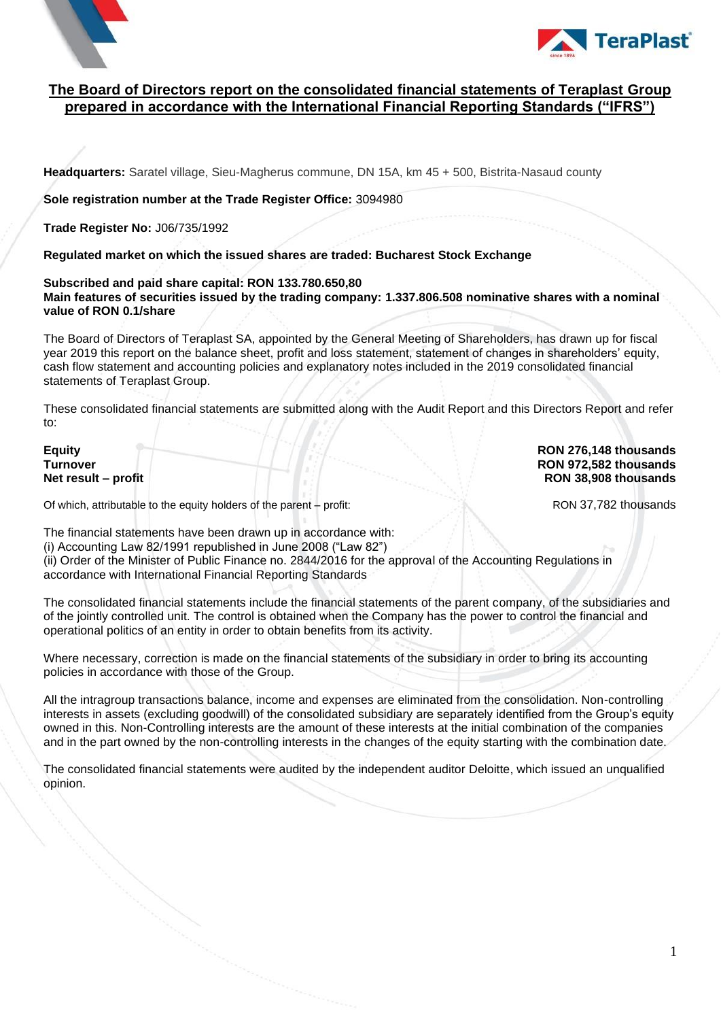



#### **The Board of Directors report on the consolidated financial statements of Teraplast Group prepared in accordance with the International Financial Reporting Standards ("IFRS")**

**Headquarters:** Saratel village, Sieu-Magherus commune, DN 15A, km 45 + 500, Bistrita-Nasaud county

**Sole registration number at the Trade Register Office:** 3094980

**Trade Register No:** J06/735/1992

**Regulated market on which the issued shares are traded: Bucharest Stock Exchange**

**Subscribed and paid share capital: RON 133.780.650,80 Main features of securities issued by the trading company: 1.337.806.508 nominative shares with a nominal value of RON 0.1/share**

The Board of Directors of Teraplast SA, appointed by the General Meeting of Shareholders, has drawn up for fiscal year 2019 this report on the balance sheet, profit and loss statement, statement of changes in shareholders' equity, cash flow statement and accounting policies and explanatory notes included in the 2019 consolidated financial statements of Teraplast Group.

These consolidated financial statements are submitted along with the Audit Report and this Directors Report and refer to:

**Equity RON 276,148 thousands Turnover RON 972,582 thousands Net result – profit RON 38,908 thousands**

Of which, attributable to the equity holders of the parent – profit: RON 37,782 thousands

The financial statements have been drawn up in accordance with:

(i) Accounting Law 82/1991 republished in June 2008 ("Law 82")

(ii) Order of the Minister of Public Finance no. 2844/2016 for the approval of the Accounting Regulations in accordance with International Financial Reporting Standards

The consolidated financial statements include the financial statements of the parent company, of the subsidiaries and of the jointly controlled unit. The control is obtained when the Company has the power to control the financial and operational politics of an entity in order to obtain benefits from its activity.

Where necessary, correction is made on the financial statements of the subsidiary in order to bring its accounting policies in accordance with those of the Group.

All the intragroup transactions balance, income and expenses are eliminated from the consolidation. Non-controlling interests in assets (excluding goodwill) of the consolidated subsidiary are separately identified from the Group's equity owned in this. Non-Controlling interests are the amount of these interests at the initial combination of the companies and in the part owned by the non-controlling interests in the changes of the equity starting with the combination date.

The consolidated financial statements were audited by the independent auditor Deloitte, which issued an unqualified opinion.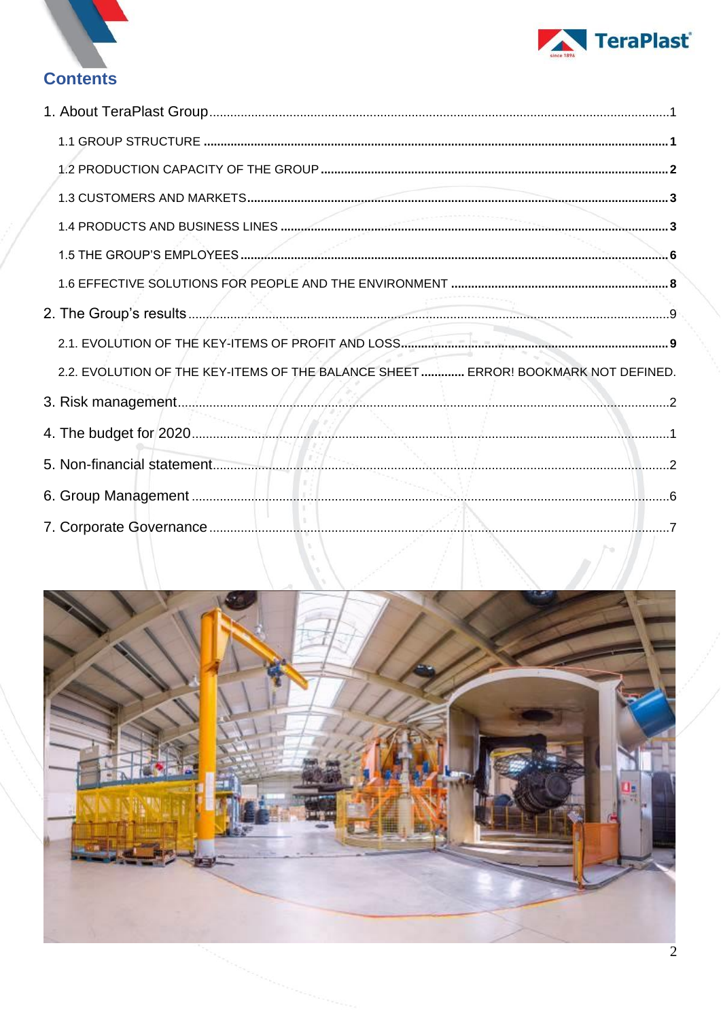



# **Contents**

| 2.2. EVOLUTION OF THE KEY-ITEMS OF THE BALANCE SHEET ERROR! BOOKMARK NOT DEFINED. |  |  |
|-----------------------------------------------------------------------------------|--|--|
|                                                                                   |  |  |
|                                                                                   |  |  |
|                                                                                   |  |  |
|                                                                                   |  |  |
|                                                                                   |  |  |
|                                                                                   |  |  |
|                                                                                   |  |  |
|                                                                                   |  |  |
|                                                                                   |  |  |
|                                                                                   |  |  |
|                                                                                   |  |  |
|                                                                                   |  |  |
|                                                                                   |  |  |
|                                                                                   |  |  |

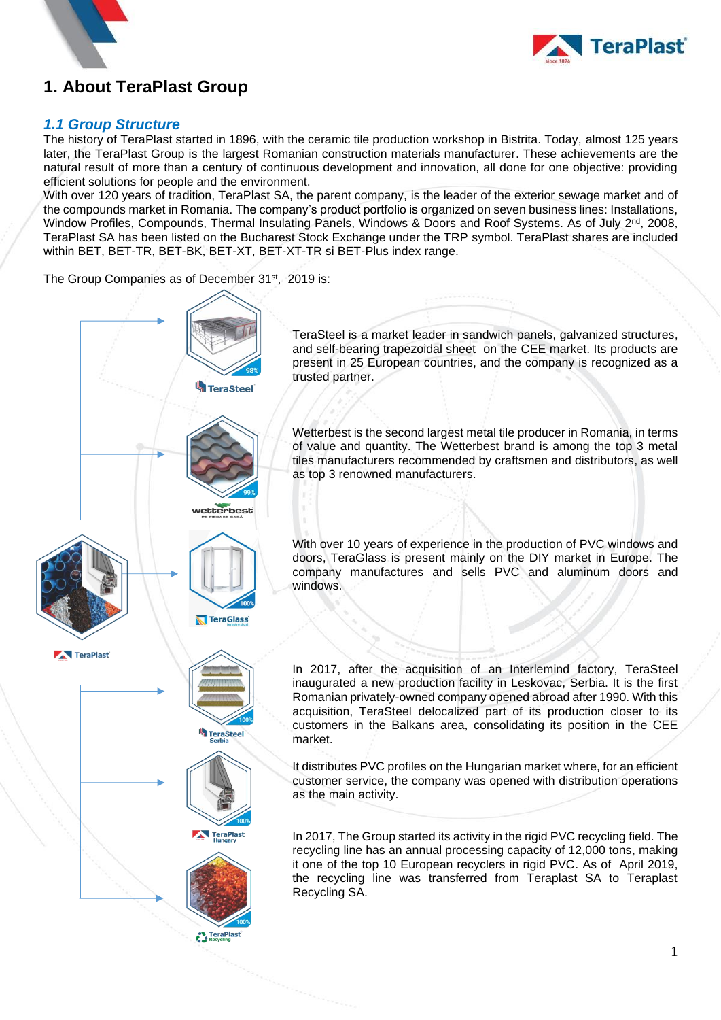



# <span id="page-2-0"></span>**1. About TeraPlast Group**

#### <span id="page-2-1"></span>*1.1 Group Structure*

The history of TeraPlast started in 1896, with the ceramic tile production workshop in Bistrita. Today, almost 125 years later, the TeraPlast Group is the largest Romanian construction materials manufacturer. These achievements are the natural result of more than a century of continuous development and innovation, all done for one objective: providing efficient solutions for people and the environment.

With over 120 years of tradition, TeraPlast SA, the parent company, is the leader of the exterior sewage market and of the compounds market in Romania. The company's product portfolio is organized on seven business lines: Installations, Window Profiles, Compounds, Thermal Insulating Panels, Windows & Doors and Roof Systems. As of July 2<sup>nd</sup>, 2008, TeraPlast SA has been listed on the Bucharest Stock Exchange under the TRP symbol. TeraPlast shares are included within BET, BET-TR, BET-BK, BET-XT, BET-XT-TR si BET-Plus index range.

The Group Companies as of December 31<sup>st</sup>, 2019 is:

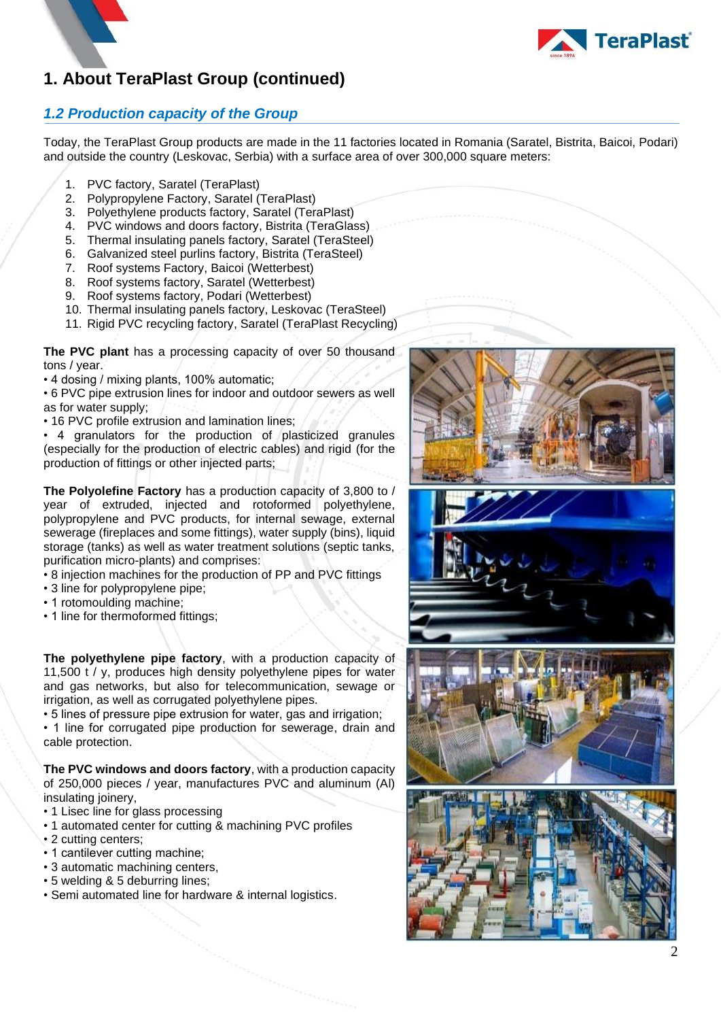

### <span id="page-3-0"></span>*1.2 Production capacity of the Group*

Today, the TeraPlast Group products are made in the 11 factories located in Romania (Saratel, Bistrita, Baicoi, Podari) and outside the country (Leskovac, Serbia) with a surface area of over 300,000 square meters:

- 1. PVC factory, Saratel (TeraPlast)
- 2. Polypropylene Factory, Saratel (TeraPlast)
- 3. Polyethylene products factory, Saratel (TeraPlast)
- 4. PVC windows and doors factory, Bistrita (TeraGlass)
- 5. Thermal insulating panels factory, Saratel (TeraSteel)
- 6. Galvanized steel purlins factory, Bistrita (TeraSteel)
- 7. Roof systems Factory, Baicoi (Wetterbest)
- 8. Roof systems factory, Saratel (Wetterbest)
- 9. Roof systems factory, Podari (Wetterbest)
- 10. Thermal insulating panels factory, Leskovac (TeraSteel)
- 11. Rigid PVC recycling factory, Saratel (TeraPlast Recycling)

**The PVC plant** has a processing capacity of over 50 thousand tons / year.

• 4 dosing / mixing plants, 100% automatic;

• 6 PVC pipe extrusion lines for indoor and outdoor sewers as well as for water supply;

• 16 PVC profile extrusion and lamination lines:

• 4 granulators for the production of plasticized granules (especially for the production of electric cables) and rigid (for the production of fittings or other injected parts;

**The Polyolefine Factory** has a production capacity of 3,800 to / year of extruded, injected and rotoformed polyethylene, polypropylene and PVC products, for internal sewage, external sewerage (fireplaces and some fittings), water supply (bins), liquid storage (tanks) as well as water treatment solutions (septic tanks, purification micro-plants) and comprises:

- 8 injection machines for the production of PP and PVC fittings
- 3 line for polypropylene pipe;
- 1 rotomoulding machine;
- 1 line for thermoformed fittings;

**The polyethylene pipe factory**, with a production capacity of 11,500 t / y, produces high density polyethylene pipes for water and gas networks, but also for telecommunication, sewage or irrigation, as well as corrugated polyethylene pipes.

• 5 lines of pressure pipe extrusion for water, gas and irrigation;

• 1 line for corrugated pipe production for sewerage, drain and cable protection.

**The PVC windows and doors factory**, with a production capacity of 250,000 pieces / year, manufactures PVC and aluminum (Al) insulating joinery,

- 1 Lisec line for glass processing
- 1 automated center for cutting & machining PVC profiles
- 2 cutting centers;
- 1 cantilever cutting machine;
- 3 automatic machining centers,
- 5 welding & 5 deburring lines;
- Semi automated line for hardware & internal logistics.







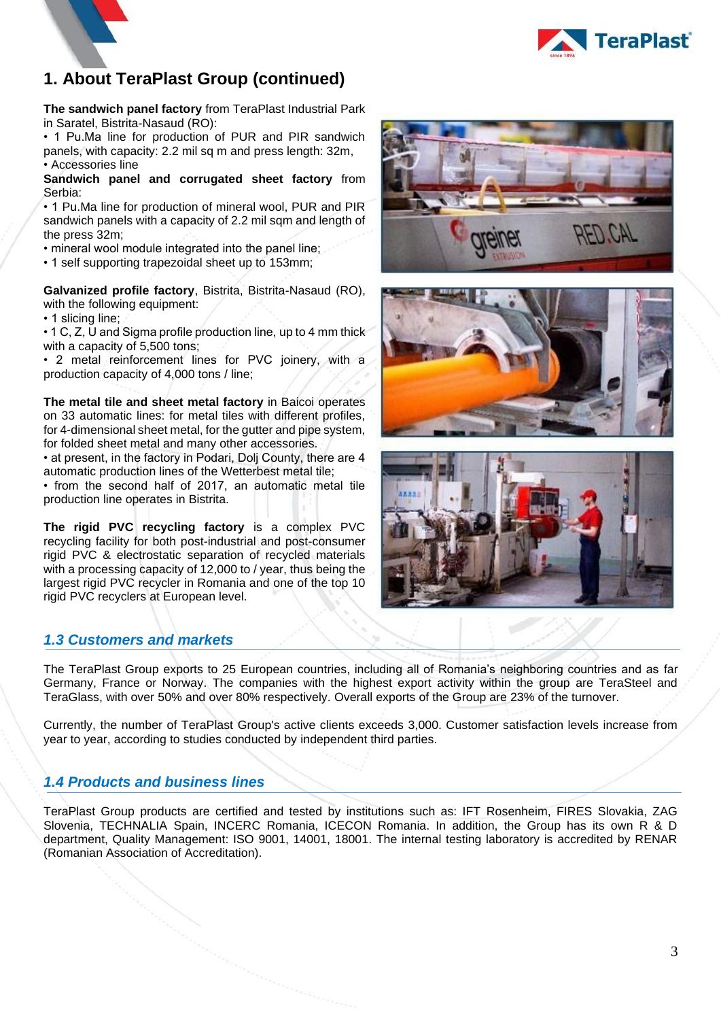

**The sandwich panel factory** from TeraPlast Industrial Park in Saratel, Bistrita-Nasaud (RO):

• 1 Pu.Ma line for production of PUR and PIR sandwich panels, with capacity: 2.2 mil sq m and press length: 32m, • Accessories line

**Sandwich panel and corrugated sheet factory** from Serbia:

• 1 Pu.Ma line for production of mineral wool, PUR and PIR sandwich panels with a capacity of 2.2 mil sqm and length of the press 32m;

• mineral wool module integrated into the panel line;

• 1 self supporting trapezoidal sheet up to 153mm;

**Galvanized profile factory**, Bistrita, Bistrita-Nasaud (RO), with the following equipment:

• 1 slicing line;

• 1 C, Z, U and Sigma profile production line, up to 4 mm thick with a capacity of 5,500 tons;

• 2 metal reinforcement lines for PVC joinery, with a production capacity of 4,000 tons / line;

**The metal tile and sheet metal factory** in Baicoi operates on 33 automatic lines: for metal tiles with different profiles, for 4-dimensional sheet metal, for the gutter and pipe system, for folded sheet metal and many other accessories.

• at present, in the factory in Podari, Dolj County, there are 4 automatic production lines of the Wetterbest metal tile;

• from the second half of 2017, an automatic metal tile production line operates in Bistrita.

**The rigid PVC recycling factory** is a complex PVC recycling facility for both post-industrial and post-consumer rigid PVC & electrostatic separation of recycled materials with a processing capacity of 12,000 to / year, thus being the largest rigid PVC recycler in Romania and one of the top 10 rigid PVC recyclers at European level.

### <span id="page-4-0"></span>*1.3 Customers and markets*

The TeraPlast Group exports to 25 European countries, including all of Romania's neighboring countries and as far Germany, France or Norway. The companies with the highest export activity within the group are TeraSteel and TeraGlass, with over 50% and over 80% respectively. Overall exports of the Group are 23% of the turnover.

Currently, the number of TeraPlast Group's active clients exceeds 3,000. Customer satisfaction levels increase from year to year, according to studies conducted by independent third parties.

### <span id="page-4-1"></span>*1.4 Products and business lines*

TeraPlast Group products are certified and tested by institutions such as: IFT Rosenheim, FIRES Slovakia, ZAG Slovenia, TECHNALIA Spain, INCERC Romania, ICECON Romania. In addition, the Group has its own R & D department, Quality Management: ISO 9001, 14001, 18001. The internal testing laboratory is accredited by RENAR (Romanian Association of Accreditation).





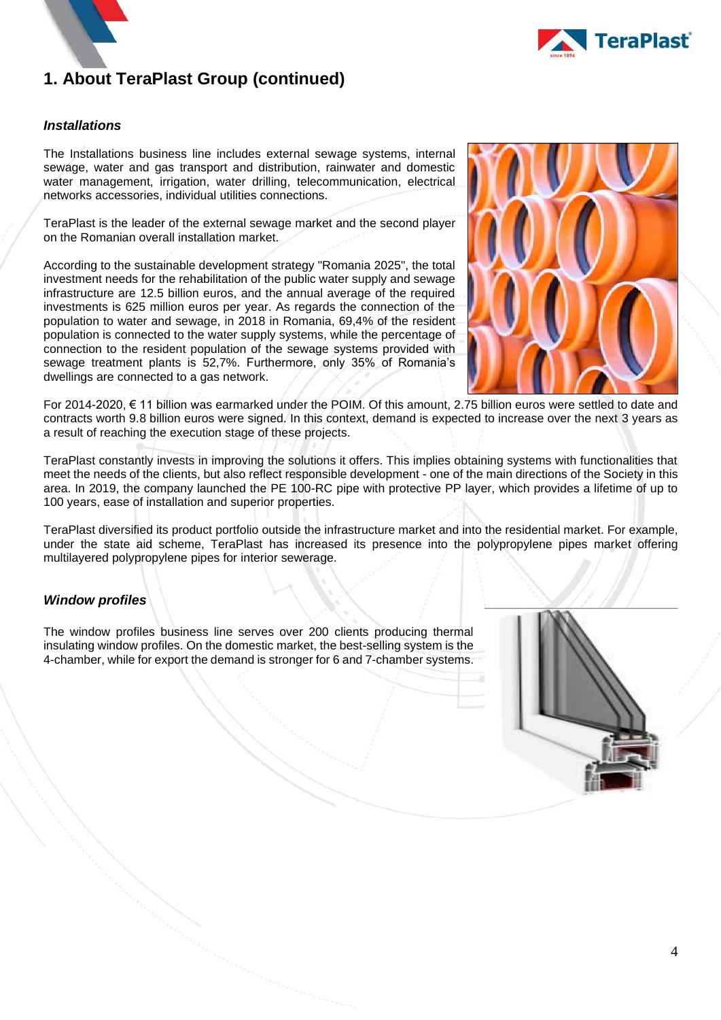

#### *Installations*

The Installations business line includes external sewage systems, internal sewage, water and gas transport and distribution, rainwater and domestic water management, irrigation, water drilling, telecommunication, electrical networks accessories, individual utilities connections.

TeraPlast is the leader of the external sewage market and the second player on the Romanian overall installation market.

According to the sustainable development strategy "Romania 2025", the total investment needs for the rehabilitation of the public water supply and sewage infrastructure are 12.5 billion euros, and the annual average of the required investments is 625 million euros per year. As regards the connection of the population to water and sewage, in 2018 in Romania, 69,4% of the resident population is connected to the water supply systems, while the percentage of connection to the resident population of the sewage systems provided with sewage treatment plants is 52,7%. Furthermore, only 35% of Romania's dwellings are connected to a gas network.



For 2014-2020, € 11 billion was earmarked under the POIM. Of this amount, 2.75 billion euros were settled to date and contracts worth 9.8 billion euros were signed. In this context, demand is expected to increase over the next 3 years as a result of reaching the execution stage of these projects.

TeraPlast constantly invests in improving the solutions it offers. This implies obtaining systems with functionalities that meet the needs of the clients, but also reflect responsible development - one of the main directions of the Society in this area. In 2019, the company launched the PE 100-RC pipe with protective PP layer, which provides a lifetime of up to 100 years, ease of installation and superior properties.

TeraPlast diversified its product portfolio outside the infrastructure market and into the residential market. For example, under the state aid scheme, TeraPlast has increased its presence into the polypropylene pipes market offering multilayered polypropylene pipes for interior sewerage.

#### *Window profiles*

The window profiles business line serves over 200 clients producing thermal insulating window profiles. On the domestic market, the best-selling system is the 4-chamber, while for export the demand is stronger for 6 and 7-chamber systems.

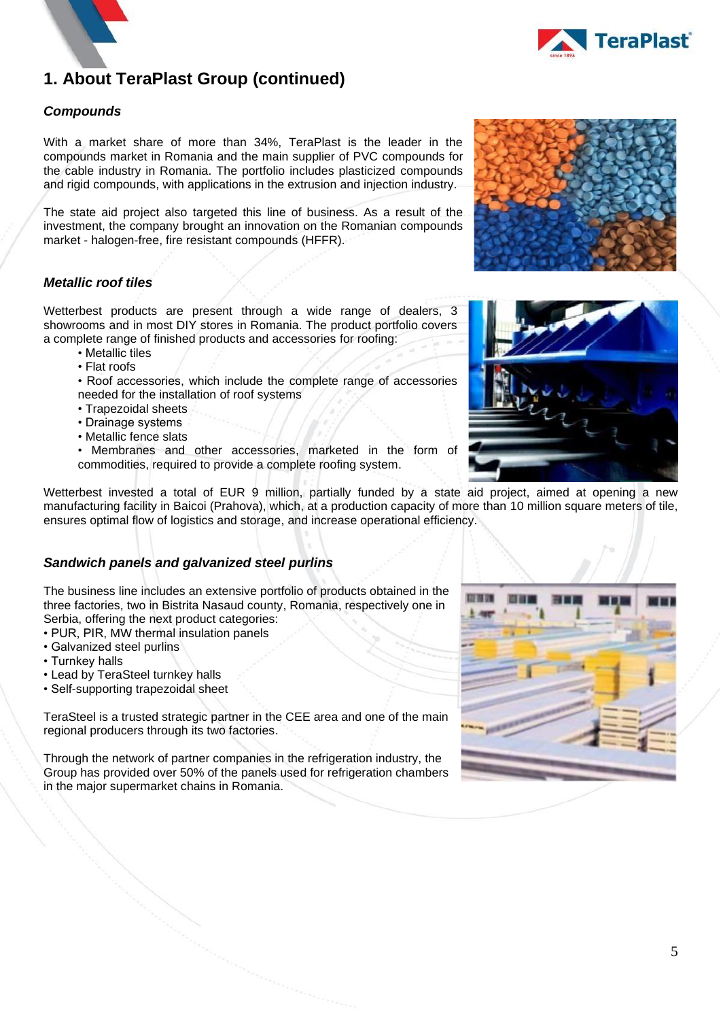



#### *Compounds*

With a market share of more than 34%, TeraPlast is the leader in the compounds market in Romania and the main supplier of PVC compounds for the cable industry in Romania. The portfolio includes plasticized compounds and rigid compounds, with applications in the extrusion and injection industry.

The state aid project also targeted this line of business. As a result of the investment, the company brought an innovation on the Romanian compounds market - halogen-free, fire resistant compounds (HFFR).

#### *Metallic roof tiles*

Wetterbest products are present through a wide range of dealers, 3 showrooms and in most DIY stores in Romania. The product portfolio covers a complete range of finished products and accessories for roofing:

- Metallic tiles
- Flat roofs
- Roof accessories, which include the complete range of accessories needed for the installation of roof systems
- Trapezoidal sheets
- Drainage systems
- Metallic fence slats

• Membranes and other accessories, marketed in the form of commodities, required to provide a complete roofing system.

Wetterbest invested a total of EUR 9 million, partially funded by a state aid project, aimed at opening a new manufacturing facility in Baicoi (Prahova), which, at a production capacity of more than 10 million square meters of tile, ensures optimal flow of logistics and storage, and increase operational efficiency.

#### *Sandwich panels and galvanized steel purlins*

The business line includes an extensive portfolio of products obtained in the three factories, two in Bistrita Nasaud county, Romania, respectively one in Serbia, offering the next product categories:

- PUR, PIR, MW thermal insulation panels
- Galvanized steel purlins
- Turnkey halls
- Lead by TeraSteel turnkey halls
- Self-supporting trapezoidal sheet

TeraSteel is a trusted strategic partner in the CEE area and one of the main regional producers through its two factories.

Through the network of partner companies in the refrigeration industry, the Group has provided over 50% of the panels used for refrigeration chambers in the major supermarket chains in Romania.





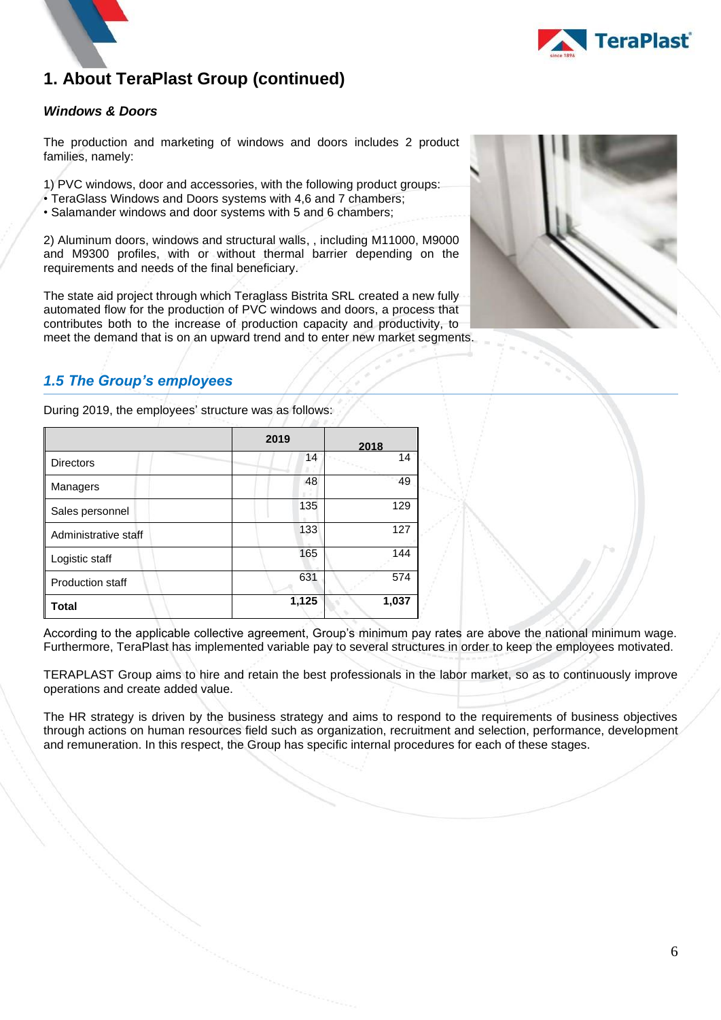

#### *Windows & Doors*

The production and marketing of windows and doors includes 2 product families, namely:

1) PVC windows, door and accessories, with the following product groups:

- TeraGlass Windows and Doors systems with 4,6 and 7 chambers;
- Salamander windows and door systems with 5 and 6 chambers;

2) Aluminum doors, windows and structural walls, , including M11000, M9000 and M9300 profiles, with or without thermal barrier depending on the requirements and needs of the final beneficiary.

The state aid project through which Teraglass Bistrita SRL created a new fully automated flow for the production of PVC windows and doors, a process that contributes both to the increase of production capacity and productivity, to meet the demand that is on an upward trend and to enter new market segments.



### <span id="page-7-0"></span>*1.5 The Group's employees*

|                         | 2019  | 2018  |
|-------------------------|-------|-------|
| <b>Directors</b>        | 14    | 14    |
| Managers                | 48    | 49    |
| Sales personnel         | 135   | 129   |
| Administrative staff    | 133   | 127   |
| Logistic staff          | 165   | 144   |
| <b>Production staff</b> | 631   | 574   |
| <b>Total</b>            | 1,125 | 1,037 |

During 2019, the employees' structure was as follows:

According to the applicable collective agreement, Group's minimum pay rates are above the national minimum wage. Furthermore, TeraPlast has implemented variable pay to several structures in order to keep the employees motivated.

TERAPLAST Group aims to hire and retain the best professionals in the labor market, so as to continuously improve operations and create added value.

The HR strategy is driven by the business strategy and aims to respond to the requirements of business objectives through actions on human resources field such as organization, recruitment and selection, performance, development and remuneration. In this respect, the Group has specific internal procedures for each of these stages.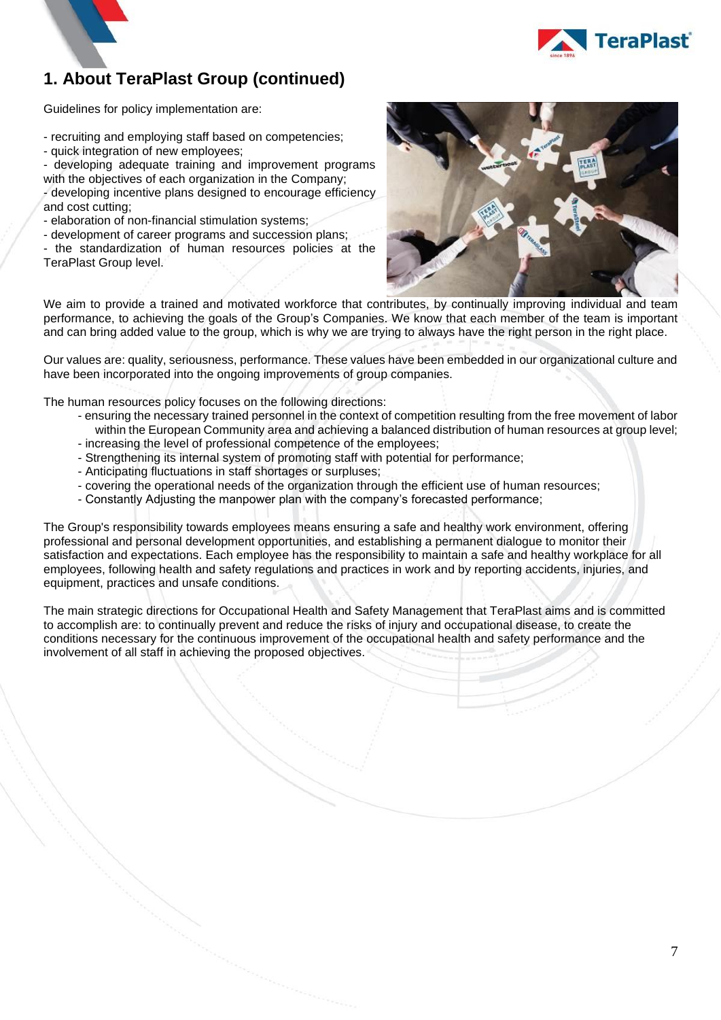

Guidelines for policy implementation are:

- recruiting and employing staff based on competencies;
- quick integration of new employees;
- developing adequate training and improvement programs with the objectives of each organization in the Company;
- developing incentive plans designed to encourage efficiency and cost cutting;
- elaboration of non-financial stimulation systems;
- development of career programs and succession plans;
- the standardization of human resources policies at the TeraPlast Group level.



We aim to provide a trained and motivated workforce that contributes, by continually improving individual and team performance, to achieving the goals of the Group's Companies. We know that each member of the team is important and can bring added value to the group, which is why we are trying to always have the right person in the right place.

Our values are: quality, seriousness, performance. These values have been embedded in our organizational culture and have been incorporated into the ongoing improvements of group companies.

The human resources policy focuses on the following directions:

- ensuring the necessary trained personnel in the context of competition resulting from the free movement of labor within the European Community area and achieving a balanced distribution of human resources at group level;
- increasing the level of professional competence of the employees;
- Strengthening its internal system of promoting staff with potential for performance;
- Anticipating fluctuations in staff shortages or surpluses;
- covering the operational needs of the organization through the efficient use of human resources;
- Constantly Adjusting the manpower plan with the company's forecasted performance;

The Group's responsibility towards employees means ensuring a safe and healthy work environment, offering professional and personal development opportunities, and establishing a permanent dialogue to monitor their satisfaction and expectations. Each employee has the responsibility to maintain a safe and healthy workplace for all employees, following health and safety regulations and practices in work and by reporting accidents, injuries, and equipment, practices and unsafe conditions.

The main strategic directions for Occupational Health and Safety Management that TeraPlast aims and is committed to accomplish are: to continually prevent and reduce the risks of injury and occupational disease, to create the conditions necessary for the continuous improvement of the occupational health and safety performance and the involvement of all staff in achieving the proposed objectives.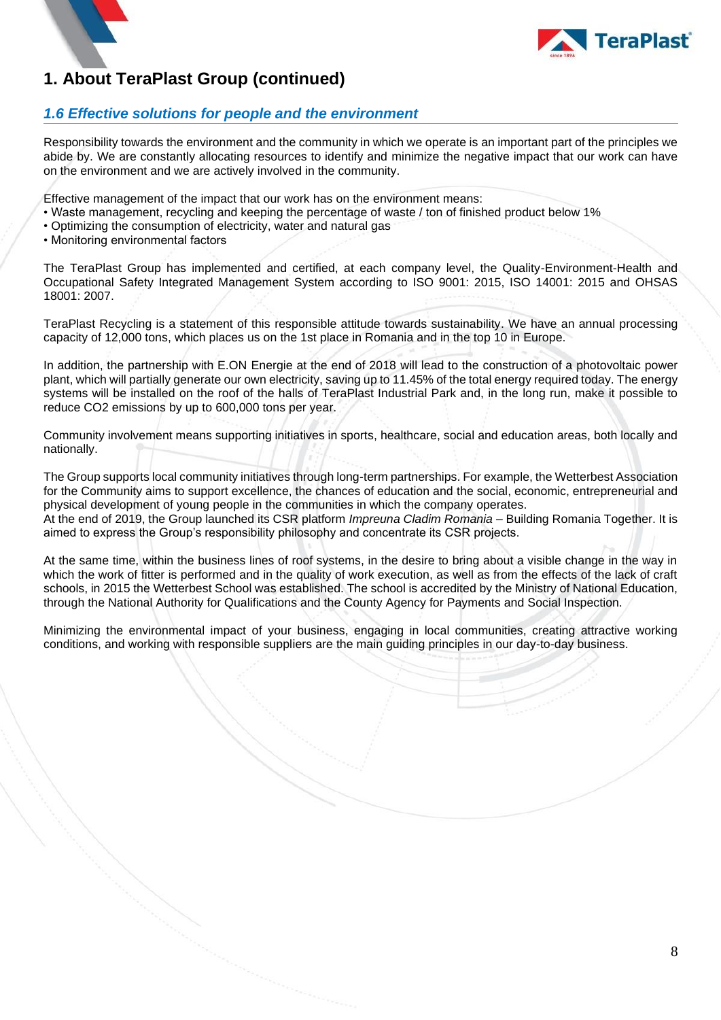

#### <span id="page-9-0"></span>*1.6 Effective solutions for people and the environment*

Responsibility towards the environment and the community in which we operate is an important part of the principles we abide by. We are constantly allocating resources to identify and minimize the negative impact that our work can have on the environment and we are actively involved in the community.

Effective management of the impact that our work has on the environment means:

- Waste management, recycling and keeping the percentage of waste / ton of finished product below 1%
- Optimizing the consumption of electricity, water and natural gas
- Monitoring environmental factors

The TeraPlast Group has implemented and certified, at each company level, the Quality-Environment-Health and Occupational Safety Integrated Management System according to ISO 9001: 2015, ISO 14001: 2015 and OHSAS 18001: 2007.

TeraPlast Recycling is a statement of this responsible attitude towards sustainability. We have an annual processing capacity of 12,000 tons, which places us on the 1st place in Romania and in the top 10 in Europe.

In addition, the partnership with E.ON Energie at the end of 2018 will lead to the construction of a photovoltaic power plant, which will partially generate our own electricity, saving up to 11.45% of the total energy required today. The energy systems will be installed on the roof of the halls of TeraPlast Industrial Park and, in the long run, make it possible to reduce CO2 emissions by up to 600,000 tons per year.

Community involvement means supporting initiatives in sports, healthcare, social and education areas, both locally and nationally.

The Group supports local community initiatives through long-term partnerships. For example, the Wetterbest Association for the Community aims to support excellence, the chances of education and the social, economic, entrepreneurial and physical development of young people in the communities in which the company operates.

At the end of 2019, the Group launched its CSR platform *Impreuna Cladim Romania* – Building Romania Together. It is aimed to express the Group's responsibility philosophy and concentrate its CSR projects.

At the same time, within the business lines of roof systems, in the desire to bring about a visible change in the way in which the work of fitter is performed and in the quality of work execution, as well as from the effects of the lack of craft schools, in 2015 the Wetterbest School was established. The school is accredited by the Ministry of National Education, through the National Authority for Qualifications and the County Agency for Payments and Social Inspection.

Minimizing the environmental impact of your business, engaging in local communities, creating attractive working conditions, and working with responsible suppliers are the main guiding principles in our day-to-day business.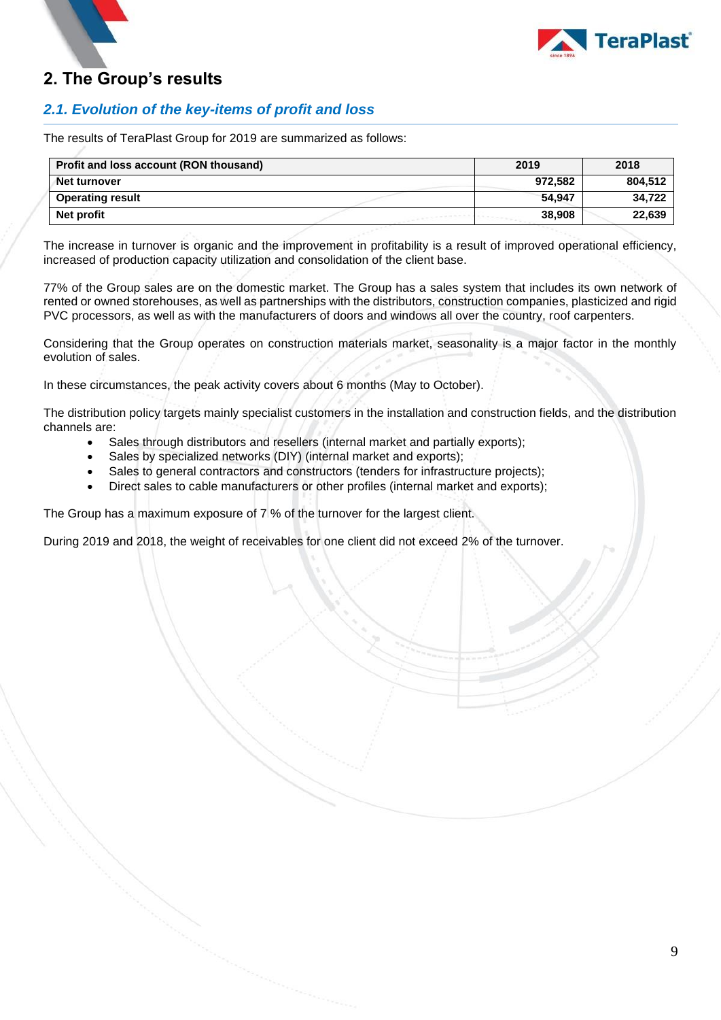

### <span id="page-10-0"></span>**2. The Group's results**

### <span id="page-10-1"></span>*2.1. Evolution of the key-items of profit and loss*

The results of TeraPlast Group for 2019 are summarized as follows:

| Profit and loss account (RON thousand) | 2019    | 2018    |
|----------------------------------------|---------|---------|
| Net turnover                           | 972.582 | 804,512 |
| <b>Operating result</b>                | 54.947  | 34.722  |
| Net profit                             | 38,908  | 22,639  |

The increase in turnover is organic and the improvement in profitability is a result of improved operational efficiency, increased of production capacity utilization and consolidation of the client base.

77% of the Group sales are on the domestic market. The Group has a sales system that includes its own network of rented or owned storehouses, as well as partnerships with the distributors, construction companies, plasticized and rigid PVC processors, as well as with the manufacturers of doors and windows all over the country, roof carpenters.

Considering that the Group operates on construction materials market, seasonality is a major factor in the monthly evolution of sales.

In these circumstances, the peak activity covers about 6 months (May to October).

The distribution policy targets mainly specialist customers in the installation and construction fields, and the distribution channels are:

- Sales through distributors and resellers (internal market and partially exports);
- Sales by specialized networks (DIY) (internal market and exports);
- Sales to general contractors and constructors (tenders for infrastructure projects);
- Direct sales to cable manufacturers or other profiles (internal market and exports);

The Group has a maximum exposure of 7 % of the turnover for the largest client.

During 2019 and 2018, the weight of receivables for one client did not exceed 2% of the turnover.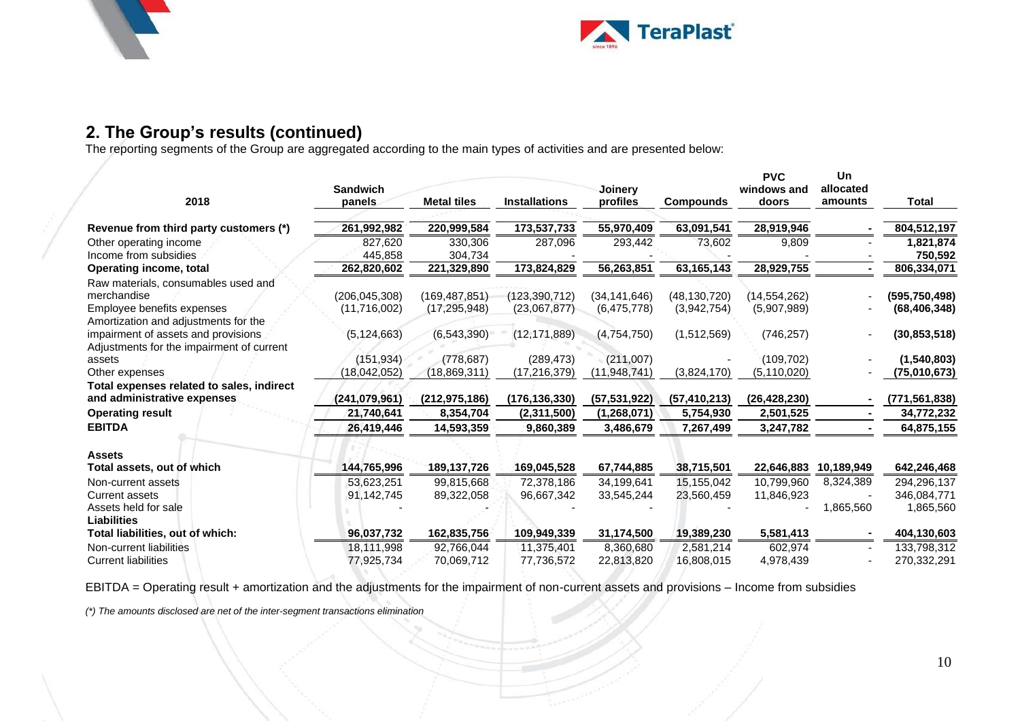



# **2. The Group's results (continued)**

The reporting segments of the Group are aggregated according to the main types of activities and are presented below:

|                                                 |                           |                    |                      |                     |                  | <b>PVC</b>           | Un                   |                      |
|-------------------------------------------------|---------------------------|--------------------|----------------------|---------------------|------------------|----------------------|----------------------|----------------------|
| 2018                                            | <b>Sandwich</b><br>panels | <b>Metal tiles</b> | <b>Installations</b> | Joinery<br>profiles | <b>Compounds</b> | windows and<br>doors | allocated<br>amounts | Total                |
| Revenue from third party customers (*)          | 261,992,982               | 220,999,584        | 173,537,733          | 55,970,409          | 63,091,541       | 28,919,946           |                      | 804,512,197          |
| Other operating income<br>Income from subsidies | 827.620<br>445,858        | 330,306<br>304,734 | 287,096              | 293,442             | 73,602           | 9,809                |                      | 1,821,874<br>750,592 |
| Operating income, total                         | 262,820,602               | 221,329,890        | 173,824,829          | 56,263,851          | 63,165,143       | 28,929,755           |                      | 806,334,071          |
| Raw materials, consumables used and             |                           |                    |                      |                     |                  |                      |                      |                      |
| merchandise                                     | (206, 045, 308)           | (169, 487, 851)    | (123, 390, 712)      | (34, 141, 646)      | (48, 130, 720)   | (14, 554, 262)       |                      | (595, 750, 498)      |
| Employee benefits expenses                      | (11,716,002)              | (17, 295, 948)     | (23,067,877)         | (6,475,778)         | (3,942,754)      | (5,907,989)          |                      | (68, 406, 348)       |
| Amortization and adjustments for the            |                           |                    |                      |                     |                  |                      |                      |                      |
| impairment of assets and provisions             | (5, 124, 663)             | (6, 543, 390)      | (12, 171, 889)       | (4,754,750)         | (1,512,569)      | (746, 257)           |                      | (30, 853, 518)       |
| Adjustments for the impairment of current       |                           |                    |                      |                     |                  |                      |                      |                      |
| assets                                          | (151, 934)                | (778, 687)         | (289, 473)           | (211,007)           |                  | (109, 702)           |                      | (1,540,803)          |
| Other expenses                                  | (18,042,052)              | (18, 869, 311)     | (17, 216, 379)       | (11, 948, 741)      | (3,824,170)      | (5, 110, 020)        |                      | (75,010,673)         |
| Total expenses related to sales, indirect       |                           |                    |                      |                     |                  |                      |                      |                      |
| and administrative expenses                     | (241, 079, 961)           | (212, 975, 186)    | (176, 136, 330)      | (57, 531, 922)      | (57, 410, 213)   | (26, 428, 230)       |                      | (771, 561, 838)      |
| <b>Operating result</b>                         | 21,740,641                | 8,354,704          | (2,311,500)          | (1,268,071)         | 5,754,930        | 2,501,525            |                      | 34,772,232           |
| <b>EBITDA</b>                                   | 26,419,446                | 14,593,359         | 9,860,389            | 3,486,679           | 7,267,499        | 3,247,782            |                      | 64,875,155           |
| <b>Assets</b>                                   |                           |                    |                      |                     |                  |                      |                      |                      |
| Total assets, out of which                      | 144,765,996               | 189, 137, 726      | 169,045,528          | 67,744,885          | 38,715,501       | 22,646,883           | 10,189,949           | 642,246,468          |
| Non-current assets                              | 53,623,251                | 99,815,668         | 72,378,186           | 34,199,641          | 15,155,042       | 10,799,960           | 8,324,389            | 294,296,137          |
| <b>Current assets</b>                           | 91,142,745                | 89,322,058         | 96,667,342           | 33,545,244          | 23,560,459       | 11,846,923           |                      | 346,084,771          |
| Assets held for sale<br><b>Liabilities</b>      |                           |                    |                      |                     |                  |                      | 1,865,560            | 1,865,560            |
| Total liabilities, out of which:                | 96.037.732                | 162,835,756        | 109,949,339          | 31,174,500          | 19,389,230       | 5,581,413            |                      | 404,130,603          |
| Non-current liabilities                         | 18,111,998                | 92,766,044         | 11,375,401           | 8,360,680           | 2,581,214        | 602.974              |                      | 133,798,312          |
| <b>Current liabilities</b>                      | 77,925,734                | 70,069,712         | 77,736,572           | 22,813,820          | 16,808,015       | 4,978,439            |                      | 270,332,291          |

EBITDA = Operating result + amortization and the adjustments for the impairment of non-current assets and provisions – Income from subsidies

*(\*) The amounts disclosed are net of the inter-segment transactions elimination*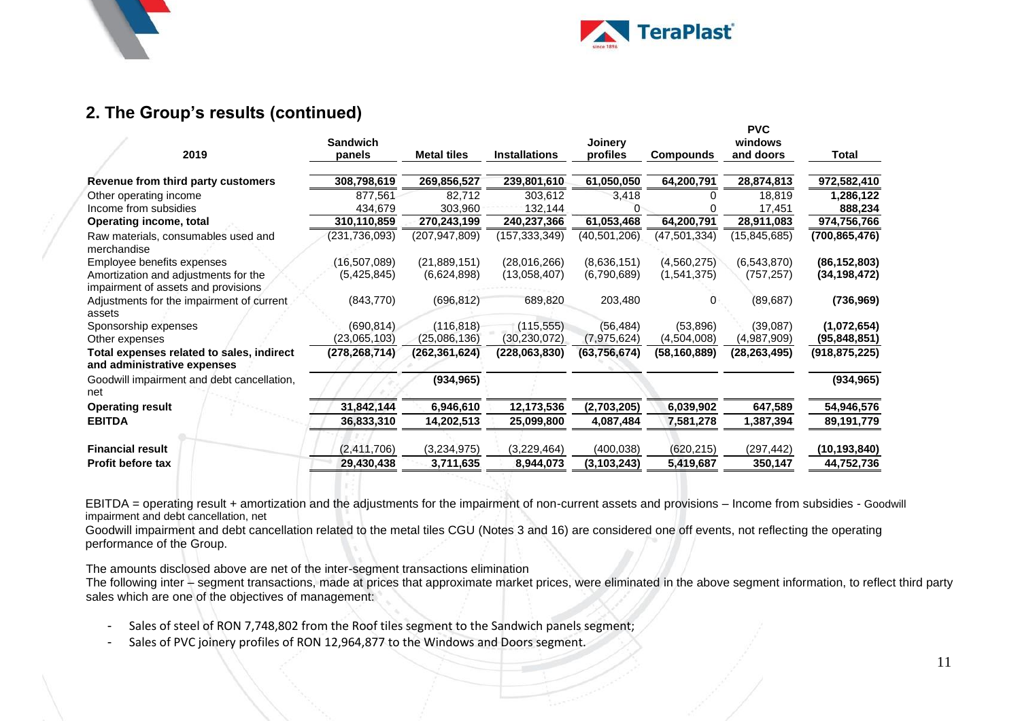



### **2. The Group's results (continued)**

| 2019                                                                        | <b>Sandwich</b><br>panels | <b>Metal tiles</b> | <b>Installations</b> | Joinery<br>profiles | Compounds      | <b>PVC</b><br>windows<br>and doors | Total           |
|-----------------------------------------------------------------------------|---------------------------|--------------------|----------------------|---------------------|----------------|------------------------------------|-----------------|
| Revenue from third party customers                                          | 308,798,619               | 269,856,527        | 239,801,610          | 61,050,050          | 64,200,791     | 28,874,813                         | 972,582,410     |
| Other operating income                                                      | 877,561                   | 82,712             | 303,612              | 3,418               |                | 18,819                             | 1,286,122       |
| Income from subsidies                                                       | 434,679                   | 303,960            | 132,144              |                     |                | 17,451                             | 888,234         |
| <b>Operating income, total</b>                                              | 310,110,859               | 270,243,199        | 240,237,366          | 61,053,468          | 64,200,791     | 28,911,083                         | 974,756,766     |
| Raw materials, consumables used and<br>merchandise                          | (231,736,093)             | (207,947,809)      | (157,333,349)        | (40,501,206)        | (47, 501, 334) | (15,845,685)                       | (700, 865, 476) |
| Employee benefits expenses                                                  | (16,507,089)              | (21,889,151)       | (28,016,266)         | (8,636,151)         | (4,560,275)    | (6,543,870)                        | (86, 152, 803)  |
| Amortization and adjustments for the<br>impairment of assets and provisions | (5,425,845)               | (6,624,898)        | (13,058,407)         | (6,790,689)         | (1,541,375)    | (757, 257)                         | (34, 198, 472)  |
| Adjustments for the impairment of current<br>assets                         | (843,770)                 | (696, 812)         | 689,820              | 203,480             | 0              | (89, 687)                          | (736,969)       |
| Sponsorship expenses                                                        | (690, 814)                | (116, 818)         | (115, 555)           | (56, 484)           | (53,896)       | (39,087)                           | (1,072,654)     |
| Other expenses                                                              | (23,065,103)              | (25,086,136)       | (30, 230, 072)       | (7,975,624)         | (4,504,008)    | (4,987,909)                        | (95,848,851)    |
| Total expenses related to sales, indirect<br>and administrative expenses    | (278, 268, 714)           | (262, 361, 624)    | (228,063,830)        | (63, 756, 674)      | (58, 160, 889) | (28, 263, 495)                     | (918, 875, 225) |
| Goodwill impairment and debt cancellation.<br>net                           |                           | (934, 965)         |                      |                     |                |                                    | (934, 965)      |
| <b>Operating result</b>                                                     | 31,842,144                | 6,946,610          | 12,173,536           | (2,703,205)         | 6,039,902      | 647,589                            | 54,946,576      |
| <b>EBITDA</b>                                                               | 36,833,310                | 14,202,513         | 25,099,800           | 4,087,484           | 7,581,278      | 1,387,394                          | 89,191,779      |
| <b>Financial result</b>                                                     | (2,411,706)               | (3,234,975)        | (3,229,464)          | (400, 038)          | (620, 215)     | (297, 442)                         | (10, 193, 840)  |
| <b>Profit before tax</b>                                                    | 29,430,438                | 3,711,635          | 8,944,073            | (3, 103, 243)       | 5,419,687      | 350,147                            | 44,752,736      |
|                                                                             |                           |                    |                      |                     |                |                                    |                 |

EBITDA = operating result + amortization and the adjustments for the impairment of non-current assets and provisions – Income from subsidies - Goodwill impairment and debt cancellation, net

Goodwill impairment and debt cancellation related to the metal tiles CGU (Notes 3 and 16) are considered one off events, not reflecting the operating performance of the Group.

The amounts disclosed above are net of the inter-segment transactions elimination

The following inter – segment transactions, made at prices that approximate market prices, were eliminated in the above segment information, to reflect third party sales which are one of the objectives of management:

- Sales of steel of RON 7,748,802 from the Roof tiles segment to the Sandwich panels segment;
- Sales of PVC joinery profiles of RON 12,964,877 to the Windows and Doors segment.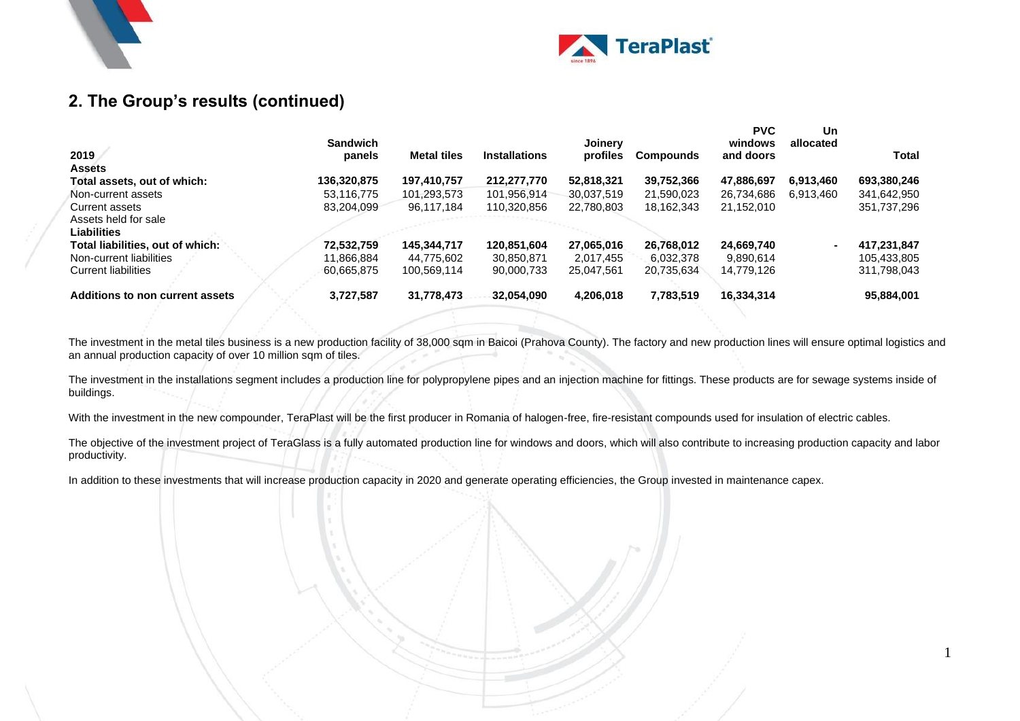



1

### **2. The Group's results (continued)**

| 2019                             | <b>Sandwich</b><br>panels | <b>Metal tiles</b> | <b>Installations</b> | Joinery<br>profiles | <b>Compounds</b> | <b>PVC</b><br>windows<br>and doors | Un<br>allocated | Total       |
|----------------------------------|---------------------------|--------------------|----------------------|---------------------|------------------|------------------------------------|-----------------|-------------|
| <b>Assets</b>                    | 136,320,875               |                    |                      | 52,818,321          | 39,752,366       |                                    |                 |             |
| Total assets, out of which:      |                           | 197,410,757        | 212,277,770          |                     |                  | 47,886,697                         | 6,913,460       | 693,380,246 |
| Non-current assets               | 53.116.775                | 101,293,573        | 101,956,914          | 30,037,519          | 21,590,023       | 26,734,686                         | 6.913.460       | 341,642,950 |
| Current assets                   | 83.204.099                | 96,117,184         | 110.320.856          | 22,780,803          | 18,162,343       | 21,152,010                         |                 | 351,737,296 |
| Assets held for sale             |                           |                    |                      |                     |                  |                                    |                 |             |
| <b>Liabilities</b>               |                           |                    |                      |                     |                  |                                    |                 |             |
| Total liabilities, out of which: | 72.532.759                | 145.344.717        | 120,851,604          | 27,065,016          | 26,768,012       | 24,669,740                         |                 | 417,231,847 |
| Non-current liabilities          | 11.866.884                | 44.775.602         | 30.850.871           | 2.017.455           | 6.032.378        | 9,890,614                          |                 | 105.433.805 |
| Current liabilities              | 60.665.875                | 100.569.114        | 90.000.733           | 25,047,561          | 20,735,634       | 14,779,126                         |                 | 311,798,043 |
| Additions to non current assets  | 3,727,587                 | 31,778,473         | 32,054,090           | 4,206,018           | 7,783,519        | 16,334,314                         |                 | 95,884,001  |

The investment in the metal tiles business is a new production facility of 38,000 sqm in Baicoi (Prahova County). The factory and new production lines will ensure optimal logistics and an annual production capacity of over 10 million sqm of tiles.

The investment in the installations segment includes a production line for polypropylene pipes and an injection machine for fittings. These products are for sewage systems inside of buildings.

With the investment in the new compounder. TeraPlast will be the first producer in Romania of halogen-free, fire-resistant compounds used for insulation of electric cables.

The objective of the investment project of TeraGlass is a fully automated production line for windows and doors, which will also contribute to increasing production capacity and labor productivity.

In addition to these investments that will increase production capacity in 2020 and generate operating efficiencies, the Group invested in maintenance capex.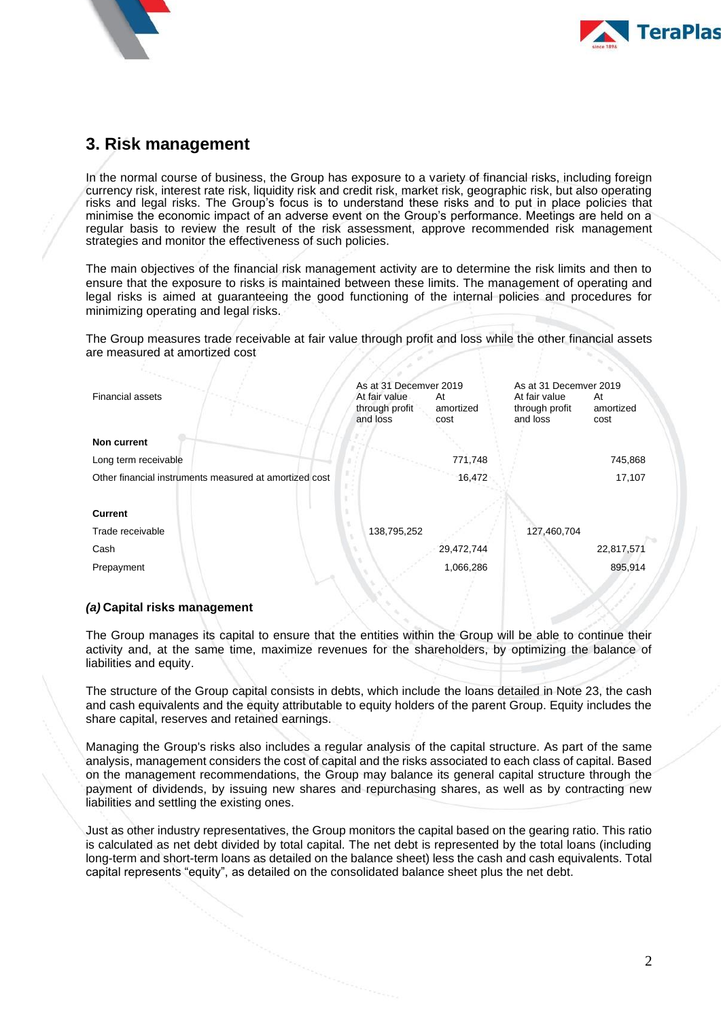



### <span id="page-14-0"></span>**3. Risk management**

In the normal course of business, the Group has exposure to a variety of financial risks, including foreign currency risk, interest rate risk, liquidity risk and credit risk, market risk, geographic risk, but also operating risks and legal risks. The Group's focus is to understand these risks and to put in place policies that minimise the economic impact of an adverse event on the Group's performance. Meetings are held on a regular basis to review the result of the risk assessment, approve recommended risk management strategies and monitor the effectiveness of such policies.

The main objectives of the financial risk management activity are to determine the risk limits and then to ensure that the exposure to risks is maintained between these limits. The management of operating and legal risks is aimed at guaranteeing the good functioning of the internal policies and procedures for minimizing operating and legal risks.

The Group measures trade receivable at fair value through profit and loss while the other financial assets are measured at amortized cost

| <b>Financial assets</b>                                | As at 31 Decemver 2019<br>At fair value<br>through profit<br>and loss | At<br>amortized<br>cost | As at 31 Decemver 2019<br>At fair value<br>through profit<br>and loss | At<br>amortized<br>cost |
|--------------------------------------------------------|-----------------------------------------------------------------------|-------------------------|-----------------------------------------------------------------------|-------------------------|
| <b>Non current</b>                                     |                                                                       |                         |                                                                       |                         |
| Long term receivable                                   |                                                                       | 771,748                 |                                                                       | 745,868                 |
| Other financial instruments measured at amortized cost |                                                                       | 16,472                  |                                                                       | 17,107                  |
|                                                        |                                                                       |                         |                                                                       |                         |
| <b>Current</b>                                         |                                                                       |                         |                                                                       |                         |
| Trade receivable                                       | 138,795,252                                                           |                         | 127,460,704                                                           |                         |
| Cash                                                   |                                                                       | 29,472,744              |                                                                       | 22,817,571              |
| Prepayment                                             |                                                                       | 1,066,286               |                                                                       | 895,914                 |
|                                                        |                                                                       |                         |                                                                       |                         |

#### *(a)* **Capital risks management**

The Group manages its capital to ensure that the entities within the Group will be able to continue their activity and, at the same time, maximize revenues for the shareholders, by optimizing the balance of liabilities and equity.

The structure of the Group capital consists in debts, which include the loans detailed in Note 23, the cash and cash equivalents and the equity attributable to equity holders of the parent Group. Equity includes the share capital, reserves and retained earnings.

Managing the Group's risks also includes a regular analysis of the capital structure. As part of the same analysis, management considers the cost of capital and the risks associated to each class of capital. Based on the management recommendations, the Group may balance its general capital structure through the payment of dividends, by issuing new shares and repurchasing shares, as well as by contracting new liabilities and settling the existing ones.

Just as other industry representatives, the Group monitors the capital based on the gearing ratio. This ratio is calculated as net debt divided by total capital. The net debt is represented by the total loans (including long-term and short-term loans as detailed on the balance sheet) less the cash and cash equivalents. Total capital represents "equity", as detailed on the consolidated balance sheet plus the net debt.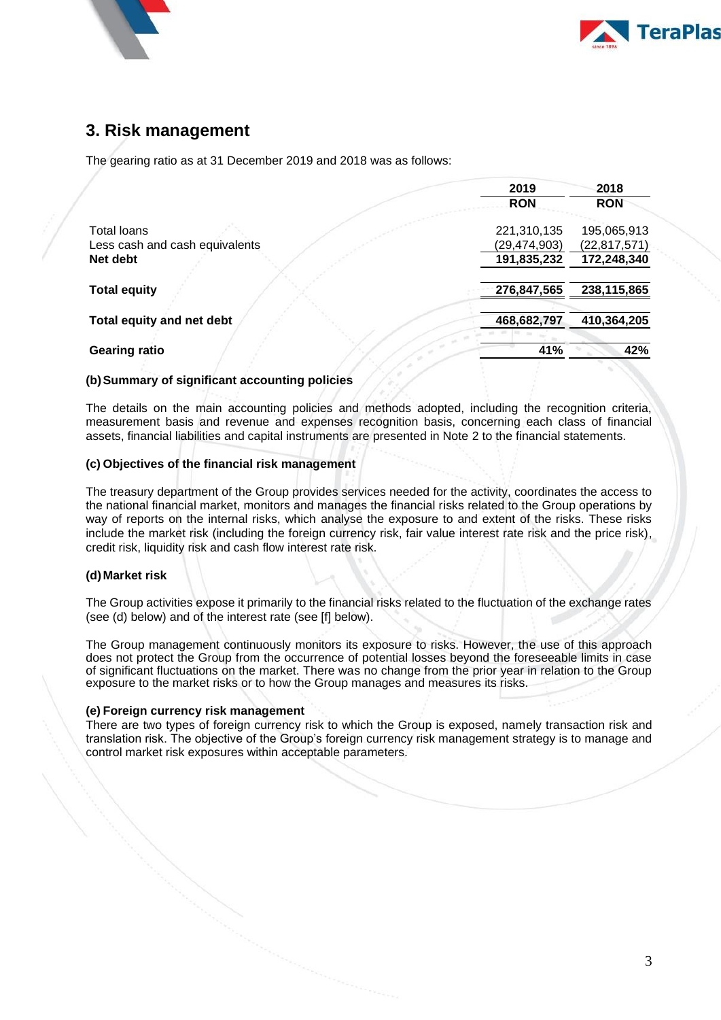



### **3. Risk management**

The gearing ratio as at 31 December 2019 and 2018 was as follows:

|                                | 2019           | 2018           |
|--------------------------------|----------------|----------------|
|                                | <b>RON</b>     | <b>RON</b>     |
| <b>Total loans</b>             | 221,310,135    | 195,065,913    |
| Less cash and cash equivalents | (29, 474, 903) | (22, 817, 571) |
| Net debt                       | 191,835,232    | 172,248,340    |
| <b>Total equity</b>            | 276,847,565    | 238,115,865    |
| Total equity and net debt      | 468,682,797    | 410,364,205    |
| <b>Gearing ratio</b>           | 41%            | 42%            |

#### **(b)Summary of significant accounting policies**

The details on the main accounting policies and methods adopted, including the recognition criteria, measurement basis and revenue and expenses recognition basis, concerning each class of financial assets, financial liabilities and capital instruments are presented in Note 2 to the financial statements.

#### **(c) Objectives of the financial risk management**

The treasury department of the Group provides services needed for the activity, coordinates the access to the national financial market, monitors and manages the financial risks related to the Group operations by way of reports on the internal risks, which analyse the exposure to and extent of the risks. These risks include the market risk (including the foreign currency risk, fair value interest rate risk and the price risk), credit risk, liquidity risk and cash flow interest rate risk.

#### **(d)Market risk**

The Group activities expose it primarily to the financial risks related to the fluctuation of the exchange rates (see (d) below) and of the interest rate (see [f] below).

The Group management continuously monitors its exposure to risks. However, the use of this approach does not protect the Group from the occurrence of potential losses beyond the foreseeable limits in case of significant fluctuations on the market. There was no change from the prior year in relation to the Group exposure to the market risks or to how the Group manages and measures its risks.

#### **(e) Foreign currency risk management**

There are two types of foreign currency risk to which the Group is exposed, namely transaction risk and translation risk. The objective of the Group's foreign currency risk management strategy is to manage and control market risk exposures within acceptable parameters.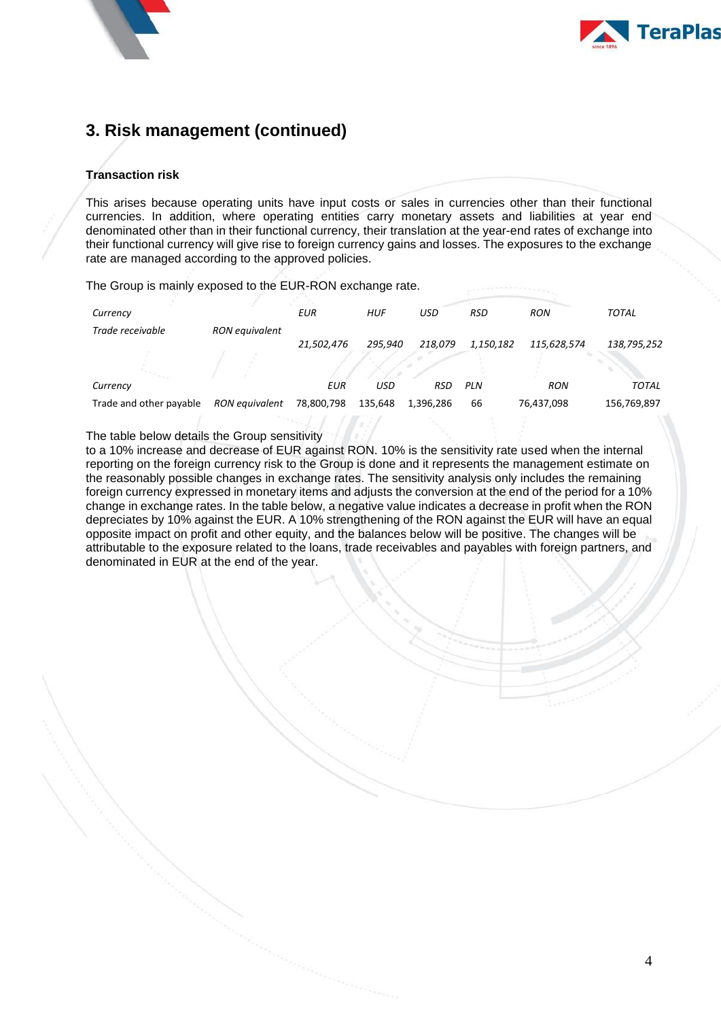



## **3. Risk management (continued)**

#### **Transaction risk**

This arises because operating units have input costs or sales in currencies other than their functional currencies. In addition, where operating entities carry monetary assets and liabilities at year end denominated other than in their functional currency, their translation at the year-end rates of exchange into their functional currency will give rise to foreign currency gains and losses. The exposures to the exchange rate are managed according to the approved policies.

The Group is mainly exposed to the EUR-RON exchange rate.

| Currency                |                       | <b>EUR</b>                                                                                                    | <b>HUF</b> | USD        | <b>RSD</b> | <b>RON</b>  | <b>TOTAL</b> |
|-------------------------|-----------------------|---------------------------------------------------------------------------------------------------------------|------------|------------|------------|-------------|--------------|
| Trade receivable        | <b>RON</b> equivalent |                                                                                                               |            |            |            |             |              |
|                         |                       | 21,502,476                                                                                                    | 295.940    | 218.079    | 1,150,182  | 115,628,574 | 138,795,252  |
|                         |                       |                                                                                                               |            |            |            |             |              |
| Currency                |                       | EUR                                                                                                           | USD        | <b>RSD</b> | <b>PLN</b> | <b>RON</b>  | <b>TOTAL</b> |
| Trade and other payable | RON equivalent        | 78,800,798                                                                                                    | 135,648    | 1,396,286  | 66         | 76,437,098  | 156,769,897  |
|                         |                       | the second control of the second control of the second control of the second control of the second control of |            |            |            |             |              |

The table below details the Group sensitivity

to a 10% increase and decrease of EUR against RON. 10% is the sensitivity rate used when the internal reporting on the foreign currency risk to the Group is done and it represents the management estimate on the reasonably possible changes in exchange rates. The sensitivity analysis only includes the remaining foreign currency expressed in monetary items and adjusts the conversion at the end of the period for a 10% change in exchange rates. In the table below, a negative value indicates a decrease in profit when the RON depreciates by 10% against the EUR. A 10% strengthening of the RON against the EUR will have an equal opposite impact on profit and other equity, and the balances below will be positive. The changes will be attributable to the exposure related to the loans, trade receivables and payables with foreign partners, and denominated in EUR at the end of the year.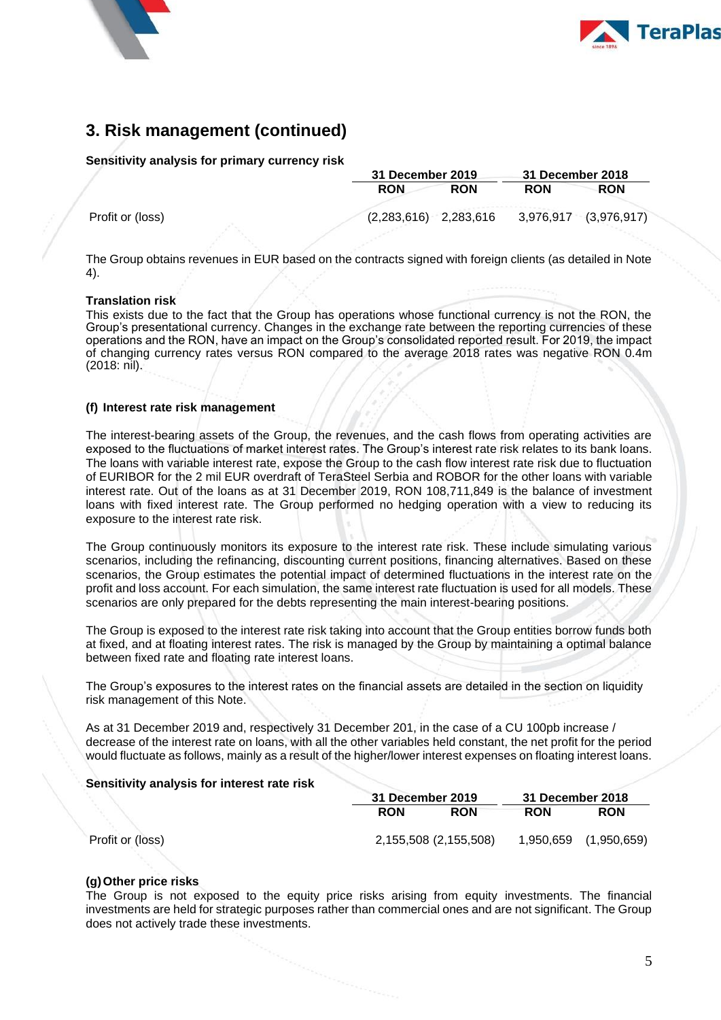



### **3. Risk management (continued)**

#### **Sensitivity analysis for primary currency risk**

|                  |                         | 31 December 2019 |            |                       |
|------------------|-------------------------|------------------|------------|-----------------------|
|                  | <b>RON</b>              | <b>RON</b>       | <b>RON</b> | <b>RON</b>            |
| Profit or (loss) | $(2,283,616)$ 2,283,616 |                  |            | 3,976,917 (3,976,917) |
|                  |                         |                  |            |                       |

The Group obtains revenues in EUR based on the contracts signed with foreign clients (as detailed in Note 4).

#### **Translation risk**

This exists due to the fact that the Group has operations whose functional currency is not the RON, the Group's presentational currency. Changes in the exchange rate between the reporting currencies of these operations and the RON, have an impact on the Group's consolidated reported result. For 2019, the impact of changing currency rates versus RON compared to the average 2018 rates was negative RON 0.4m (2018: nil).

#### **(f) Interest rate risk management**

The interest-bearing assets of the Group, the revenues, and the cash flows from operating activities are exposed to the fluctuations of market interest rates. The Group's interest rate risk relates to its bank loans. The loans with variable interest rate, expose the Group to the cash flow interest rate risk due to fluctuation of EURIBOR for the 2 mil EUR overdraft of TeraSteel Serbia and ROBOR for the other loans with variable interest rate. Out of the loans as at 31 December 2019, RON 108,711,849 is the balance of investment loans with fixed interest rate. The Group performed no hedging operation with a view to reducing its exposure to the interest rate risk.

The Group continuously monitors its exposure to the interest rate risk. These include simulating various scenarios, including the refinancing, discounting current positions, financing alternatives. Based on these scenarios, the Group estimates the potential impact of determined fluctuations in the interest rate on the profit and loss account. For each simulation, the same interest rate fluctuation is used for all models. These scenarios are only prepared for the debts representing the main interest-bearing positions.

The Group is exposed to the interest rate risk taking into account that the Group entities borrow funds both at fixed, and at floating interest rates. The risk is managed by the Group by maintaining a optimal balance between fixed rate and floating rate interest loans.

The Group's exposures to the interest rates on the financial assets are detailed in the section on liquidity risk management of this Note.

As at 31 December 2019 and, respectively 31 December 201, in the case of a CU 100pb increase / decrease of the interest rate on loans, with all the other variables held constant, the net profit for the period would fluctuate as follows, mainly as a result of the higher/lower interest expenses on floating interest loans.

#### **Sensitivity analysis for interest rate risk**

|                  |            | 31 December 2019      |            |                       |
|------------------|------------|-----------------------|------------|-----------------------|
|                  | <b>RON</b> | <b>RON</b>            | <b>RON</b> | <b>RON</b>            |
| Profit or (loss) |            | 2,155,508 (2,155,508) |            | 1,950,659 (1,950,659) |

#### **(g)Other price risks**

The Group is not exposed to the equity price risks arising from equity investments. The financial investments are held for strategic purposes rather than commercial ones and are not significant. The Group does not actively trade these investments.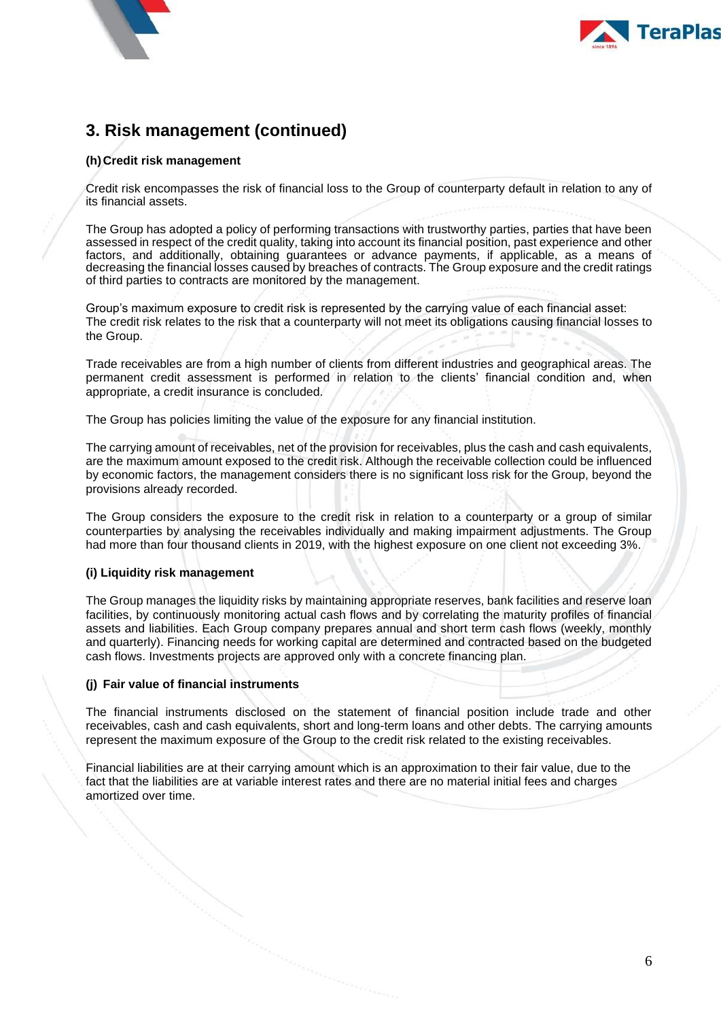



# **3. Risk management (continued)**

#### **(h)Credit risk management**

Credit risk encompasses the risk of financial loss to the Group of counterparty default in relation to any of its financial assets.

The Group has adopted a policy of performing transactions with trustworthy parties, parties that have been assessed in respect of the credit quality, taking into account its financial position, past experience and other factors, and additionally, obtaining guarantees or advance payments, if applicable, as a means of decreasing the financial losses caused by breaches of contracts. The Group exposure and the credit ratings of third parties to contracts are monitored by the management.

Group's maximum exposure to credit risk is represented by the carrying value of each financial asset: The credit risk relates to the risk that a counterparty will not meet its obligations causing financial losses to the Group.

Trade receivables are from a high number of clients from different industries and geographical areas. The permanent credit assessment is performed in relation to the clients' financial condition and, when appropriate, a credit insurance is concluded.

The Group has policies limiting the value of the exposure for any financial institution.

The carrying amount of receivables, net of the provision for receivables, plus the cash and cash equivalents, are the maximum amount exposed to the credit risk. Although the receivable collection could be influenced by economic factors, the management considers there is no significant loss risk for the Group, beyond the provisions already recorded.

The Group considers the exposure to the credit risk in relation to a counterparty or a group of similar counterparties by analysing the receivables individually and making impairment adjustments. The Group had more than four thousand clients in 2019, with the highest exposure on one client not exceeding 3%.

#### **(i) Liquidity risk management**

The Group manages the liquidity risks by maintaining appropriate reserves, bank facilities and reserve loan facilities, by continuously monitoring actual cash flows and by correlating the maturity profiles of financial assets and liabilities. Each Group company prepares annual and short term cash flows (weekly, monthly and quarterly). Financing needs for working capital are determined and contracted based on the budgeted cash flows. Investments projects are approved only with a concrete financing plan.

#### **(j) Fair value of financial instruments**

The financial instruments disclosed on the statement of financial position include trade and other receivables, cash and cash equivalents, short and long-term loans and other debts. The carrying amounts represent the maximum exposure of the Group to the credit risk related to the existing receivables.

Financial liabilities are at their carrying amount which is an approximation to their fair value, due to the fact that the liabilities are at variable interest rates and there are no material initial fees and charges amortized over time.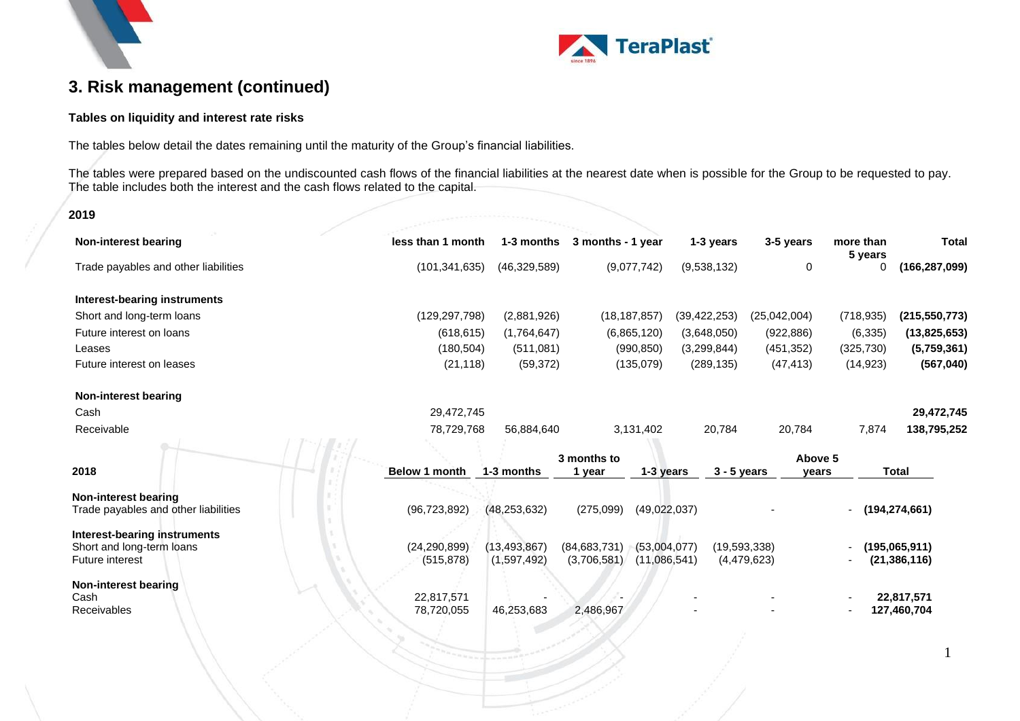



1

# **3. Risk management (continued)**

#### **Tables on liquidity and interest rate risks**

The tables below detail the dates remaining until the maturity of the Group's financial liabilities.

The tables were prepared based on the undiscounted cash flows of the financial liabilities at the nearest date when is possible for the Group to be requested to pay. The table includes both the interest and the cash flows related to the capital.

#### **2019**

| Non-interest bearing                                         | less than 1 month            | 1-3 months                    | 3 months - 1 year             |                              | 1-3 years      | 3-5 years                   | more than<br>5 years | <b>Total</b>                    |
|--------------------------------------------------------------|------------------------------|-------------------------------|-------------------------------|------------------------------|----------------|-----------------------------|----------------------|---------------------------------|
| Trade payables and other liabilities                         | (101, 341, 635)              | (46, 329, 589)                |                               | (9,077,742)                  | (9,538,132)    | 0                           | 0                    | (166, 287, 099)                 |
| Interest-bearing instruments                                 |                              |                               |                               |                              |                |                             |                      |                                 |
| Short and long-term loans                                    | (129, 297, 798)              | (2,881,926)                   |                               | (18, 187, 857)               | (39, 422, 253) | (25,042,004)                | (718, 935)           | (215, 550, 773)                 |
| Future interest on loans                                     | (618, 615)                   | (1,764,647)                   |                               | (6,865,120)                  | (3,648,050)    | (922, 886)                  | (6, 335)             | (13,825,653)                    |
| Leases                                                       | (180, 504)                   | (511,081)                     |                               | (990, 850)                   | (3,299,844)    | (451, 352)                  | (325, 730)           | (5,759,361)                     |
| Future interest on leases                                    | (21, 118)                    | (59, 372)                     |                               | (135,079)                    | (289, 135)     | (47, 413)                   | (14, 923)            | (567, 040)                      |
| <b>Non-interest bearing</b>                                  |                              |                               |                               |                              |                |                             |                      |                                 |
| Cash                                                         | 29,472,745                   |                               |                               |                              |                |                             |                      | 29,472,745                      |
| Receivable                                                   | 78,729,768                   | 56,884,640                    |                               | 3,131,402                    | 20,784         | 20,784                      | 7,874                | 138,795,252                     |
|                                                              |                              |                               | 3 months to                   |                              |                | Above 5                     |                      |                                 |
| 2018                                                         | <b>Below 1 month</b>         | 1-3 months                    | 1 year                        | 1-3 years                    | $3 - 5$ years  | vears                       |                      | <b>Total</b>                    |
| Non-interest bearing<br>Trade payables and other liabilities | (96, 723, 892)               | (48, 253, 632)                | (275,099)                     | (49,022,037)                 |                |                             | $-$ (194,274,661)    |                                 |
| Interest-bearing instruments                                 |                              |                               |                               |                              |                |                             |                      |                                 |
| Short and long-term loans<br><b>Future interest</b>          | (24, 290, 899)<br>(515, 878) | (13, 493, 867)<br>(1,597,492) | (84, 683, 731)<br>(3,706,581) | (53,004,077)<br>(11,086,541) |                | (19,593,338)<br>(4,479,623) |                      | (195,065,911)<br>(21, 386, 116) |
| Non-interest bearing<br>Cash                                 | 22,817,571                   |                               |                               |                              |                |                             |                      | 22,817,571                      |
| Receivables                                                  | 78,720,055                   | 46,253,683                    | 2,486,967                     |                              |                |                             |                      | 127,460,704                     |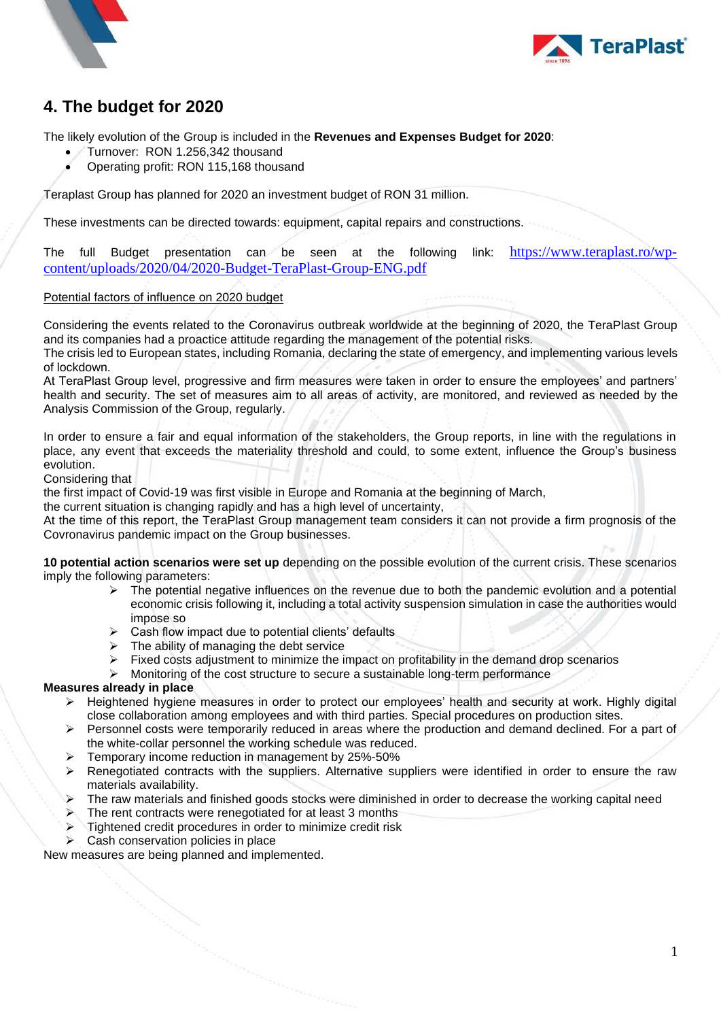



# <span id="page-20-0"></span>**4. The budget for 2020**

The likely evolution of the Group is included in the **Revenues and Expenses Budget for 2020**:

- Turnover: RON 1.256,342 thousand
- Operating profit: RON 115,168 thousand

Teraplast Group has planned for 2020 an investment budget of RON 31 million.

These investments can be directed towards: equipment, capital repairs and constructions.

The full Budget presentation can be seen at the following link: [https://www.teraplast.ro/wp](https://www.teraplast.ro/wp-content/uploads/2020/04/2020-Budget-TeraPlast-Group-ENG.pdf)[content/uploads/2020/04/2020-Budget-TeraPlast-Group-ENG.pdf](https://www.teraplast.ro/wp-content/uploads/2020/04/2020-Budget-TeraPlast-Group-ENG.pdf)

#### Potential factors of influence on 2020 budget

Considering the events related to the Coronavirus outbreak worldwide at the beginning of 2020, the TeraPlast Group and its companies had a proactice attitude regarding the management of the potential risks.

The crisis led to European states, including Romania, declaring the state of emergency, and implementing various levels of lockdown.

At TeraPlast Group level, progressive and firm measures were taken in order to ensure the employees' and partners' health and security. The set of measures aim to all areas of activity, are monitored, and reviewed as needed by the Analysis Commission of the Group, regularly.

In order to ensure a fair and equal information of the stakeholders, the Group reports, in line with the regulations in place, any event that exceeds the materiality threshold and could, to some extent, influence the Group's business evolution.

Considering that

the first impact of Covid-19 was first visible in Europe and Romania at the beginning of March,

the current situation is changing rapidly and has a high level of uncertainty,

At the time of this report, the TeraPlast Group management team considers it can not provide a firm prognosis of the Covronavirus pandemic impact on the Group businesses.

**10 potential action scenarios were set up** depending on the possible evolution of the current crisis. These scenarios imply the following parameters:

- $\triangleright$  The potential negative influences on the revenue due to both the pandemic evolution and a potential economic crisis following it, including a total activity suspension simulation in case the authorities would impose so
- $\triangleright$  Cash flow impact due to potential clients' defaults
- $\triangleright$  The ability of managing the debt service
- ➢ Fixed costs adjustment to minimize the impact on profitability in the demand drop scenarios
- $\triangleright$  Monitoring of the cost structure to secure a sustainable long-term performance

#### **Measures already in place**

- ➢ Heightened hygiene measures in order to protect our employees' health and security at work. Highly digital close collaboration among employees and with third parties. Special procedures on production sites.
- ➢ Personnel costs were temporarily reduced in areas where the production and demand declined. For a part of the white-collar personnel the working schedule was reduced.
	- ➢ Temporary income reduction in management by 25%-50%
- ➢ Renegotiated contracts with the suppliers. Alternative suppliers were identified in order to ensure the raw materials availability.
- ➢ The raw materials and finished goods stocks were diminished in order to decrease the working capital need
- ➢ The rent contracts were renegotiated for at least 3 months
- ➢ Tightened credit procedures in order to minimize credit risk
- Cash conservation policies in place

New measures are being planned and implemented.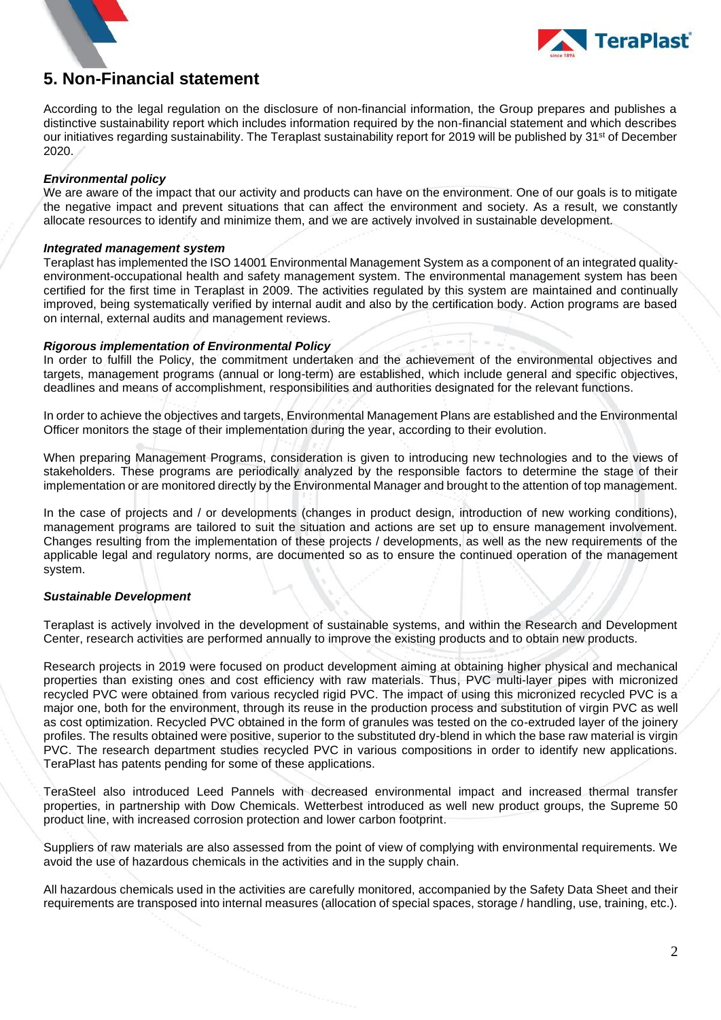



### <span id="page-21-0"></span>**5. Non-Financial statement**

According to the legal regulation on the disclosure of non-financial information, the Group prepares and publishes a distinctive sustainability report which includes information required by the non-financial statement and which describes our initiatives regarding sustainability. The Teraplast sustainability report for 2019 will be published by 31<sup>st</sup> of December 2020.

#### *Environmental policy*

We are aware of the impact that our activity and products can have on the environment. One of our goals is to mitigate the negative impact and prevent situations that can affect the environment and society. As a result, we constantly allocate resources to identify and minimize them, and we are actively involved in sustainable development.

#### *Integrated management system*

Teraplast has implemented the ISO 14001 Environmental Management System as a component of an integrated qualityenvironment-occupational health and safety management system. The environmental management system has been certified for the first time in Teraplast in 2009. The activities regulated by this system are maintained and continually improved, being systematically verified by internal audit and also by the certification body. Action programs are based on internal, external audits and management reviews.

#### *Rigorous implementation of Environmental Policy*

In order to fulfill the Policy, the commitment undertaken and the achievement of the environmental objectives and targets, management programs (annual or long-term) are established, which include general and specific objectives, deadlines and means of accomplishment, responsibilities and authorities designated for the relevant functions.

In order to achieve the objectives and targets, Environmental Management Plans are established and the Environmental Officer monitors the stage of their implementation during the year, according to their evolution.

When preparing Management Programs, consideration is given to introducing new technologies and to the views of stakeholders. These programs are periodically analyzed by the responsible factors to determine the stage of their implementation or are monitored directly by the Environmental Manager and brought to the attention of top management.

In the case of projects and / or developments (changes in product design, introduction of new working conditions), management programs are tailored to suit the situation and actions are set up to ensure management involvement. Changes resulting from the implementation of these projects / developments, as well as the new requirements of the applicable legal and regulatory norms, are documented so as to ensure the continued operation of the management system.

#### *Sustainable Development*

Teraplast is actively involved in the development of sustainable systems, and within the Research and Development Center, research activities are performed annually to improve the existing products and to obtain new products.

Research projects in 2019 were focused on product development aiming at obtaining higher physical and mechanical properties than existing ones and cost efficiency with raw materials. Thus, PVC multi-layer pipes with micronized recycled PVC were obtained from various recycled rigid PVC. The impact of using this micronized recycled PVC is a major one, both for the environment, through its reuse in the production process and substitution of virgin PVC as well as cost optimization. Recycled PVC obtained in the form of granules was tested on the co-extruded layer of the joinery profiles. The results obtained were positive, superior to the substituted dry-blend in which the base raw material is virgin PVC. The research department studies recycled PVC in various compositions in order to identify new applications. TeraPlast has patents pending for some of these applications.

TeraSteel also introduced Leed Pannels with decreased environmental impact and increased thermal transfer properties, in partnership with Dow Chemicals. Wetterbest introduced as well new product groups, the Supreme 50 product line, with increased corrosion protection and lower carbon footprint.

Suppliers of raw materials are also assessed from the point of view of complying with environmental requirements. We avoid the use of hazardous chemicals in the activities and in the supply chain.

All hazardous chemicals used in the activities are carefully monitored, accompanied by the Safety Data Sheet and their requirements are transposed into internal measures (allocation of special spaces, storage / handling, use, training, etc.).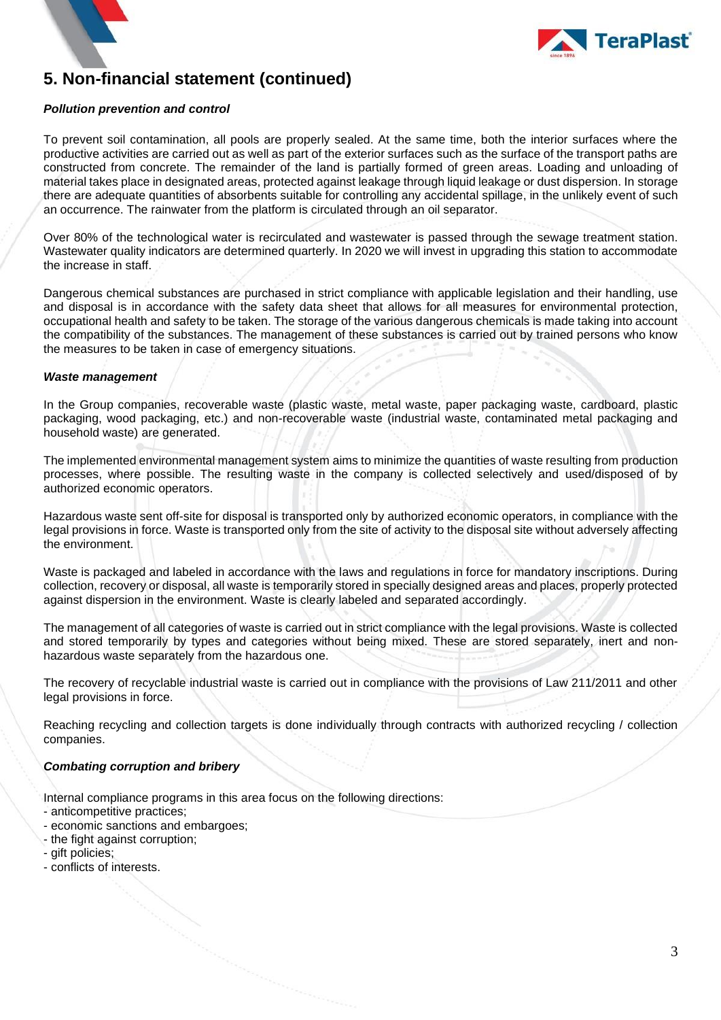

# **5. Non-financial statement (continued)**

#### *Pollution prevention and control*

To prevent soil contamination, all pools are properly sealed. At the same time, both the interior surfaces where the productive activities are carried out as well as part of the exterior surfaces such as the surface of the transport paths are constructed from concrete. The remainder of the land is partially formed of green areas. Loading and unloading of material takes place in designated areas, protected against leakage through liquid leakage or dust dispersion. In storage there are adequate quantities of absorbents suitable for controlling any accidental spillage, in the unlikely event of such an occurrence. The rainwater from the platform is circulated through an oil separator.

Over 80% of the technological water is recirculated and wastewater is passed through the sewage treatment station. Wastewater quality indicators are determined quarterly. In 2020 we will invest in upgrading this station to accommodate the increase in staff.

Dangerous chemical substances are purchased in strict compliance with applicable legislation and their handling, use and disposal is in accordance with the safety data sheet that allows for all measures for environmental protection, occupational health and safety to be taken. The storage of the various dangerous chemicals is made taking into account the compatibility of the substances. The management of these substances is carried out by trained persons who know the measures to be taken in case of emergency situations.

#### *Waste management*

In the Group companies, recoverable waste (plastic waste, metal waste, paper packaging waste, cardboard, plastic packaging, wood packaging, etc.) and non-recoverable waste (industrial waste, contaminated metal packaging and household waste) are generated.

The implemented environmental management system aims to minimize the quantities of waste resulting from production processes, where possible. The resulting waste in the company is collected selectively and used/disposed of by authorized economic operators.

Hazardous waste sent off-site for disposal is transported only by authorized economic operators, in compliance with the legal provisions in force. Waste is transported only from the site of activity to the disposal site without adversely affecting the environment.

Waste is packaged and labeled in accordance with the laws and regulations in force for mandatory inscriptions. During collection, recovery or disposal, all waste is temporarily stored in specially designed areas and places, properly protected against dispersion in the environment. Waste is clearly labeled and separated accordingly.

The management of all categories of waste is carried out in strict compliance with the legal provisions. Waste is collected and stored temporarily by types and categories without being mixed. These are stored separately, inert and nonhazardous waste separately from the hazardous one.

The recovery of recyclable industrial waste is carried out in compliance with the provisions of Law 211/2011 and other legal provisions in force.

Reaching recycling and collection targets is done individually through contracts with authorized recycling / collection companies.

#### *Combating corruption and bribery*

Internal compliance programs in this area focus on the following directions:

- anticompetitive practices;
- economic sanctions and embargoes;
- the fight against corruption;
- gift policies;
- conflicts of interests.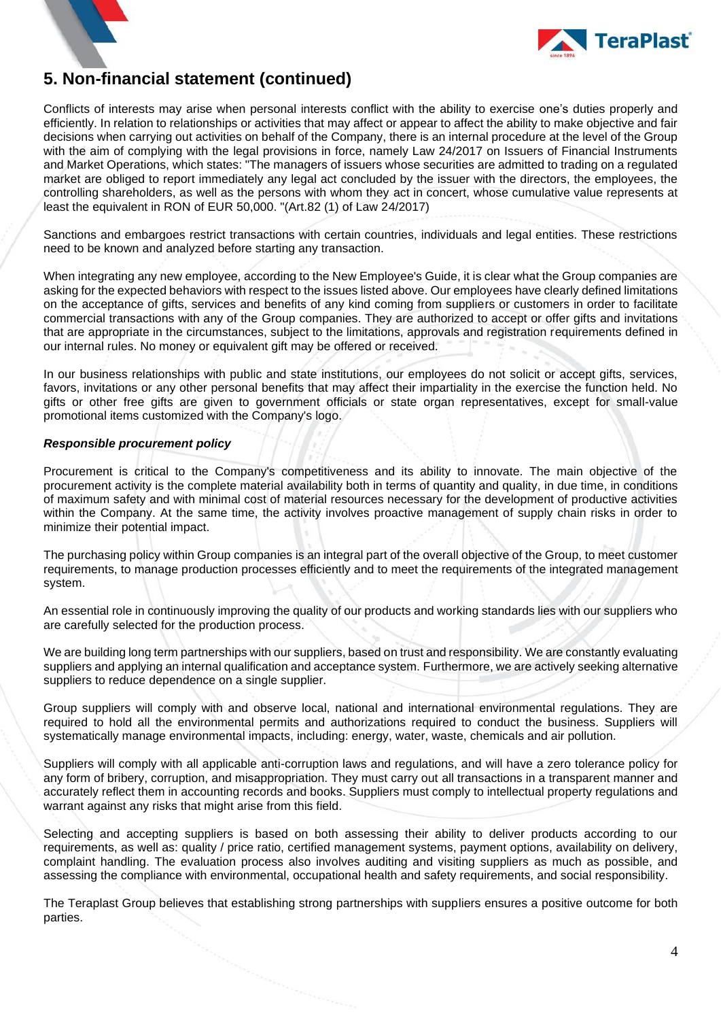



### **5. Non-financial statement (continued)**

Conflicts of interests may arise when personal interests conflict with the ability to exercise one's duties properly and efficiently. In relation to relationships or activities that may affect or appear to affect the ability to make objective and fair decisions when carrying out activities on behalf of the Company, there is an internal procedure at the level of the Group with the aim of complying with the legal provisions in force, namely Law 24/2017 on Issuers of Financial Instruments and Market Operations, which states: "The managers of issuers whose securities are admitted to trading on a regulated market are obliged to report immediately any legal act concluded by the issuer with the directors, the employees, the controlling shareholders, as well as the persons with whom they act in concert, whose cumulative value represents at least the equivalent in RON of EUR 50,000. "(Art.82 (1) of Law 24/2017)

Sanctions and embargoes restrict transactions with certain countries, individuals and legal entities. These restrictions need to be known and analyzed before starting any transaction.

When integrating any new employee, according to the New Employee's Guide, it is clear what the Group companies are asking for the expected behaviors with respect to the issues listed above. Our employees have clearly defined limitations on the acceptance of gifts, services and benefits of any kind coming from suppliers or customers in order to facilitate commercial transactions with any of the Group companies. They are authorized to accept or offer gifts and invitations that are appropriate in the circumstances, subject to the limitations, approvals and registration requirements defined in our internal rules. No money or equivalent gift may be offered or received.

In our business relationships with public and state institutions, our employees do not solicit or accept gifts, services, favors, invitations or any other personal benefits that may affect their impartiality in the exercise the function held. No gifts or other free gifts are given to government officials or state organ representatives, except for small-value promotional items customized with the Company's logo.

#### *Responsible procurement policy*

Procurement is critical to the Company's competitiveness and its ability to innovate. The main objective of the procurement activity is the complete material availability both in terms of quantity and quality, in due time, in conditions of maximum safety and with minimal cost of material resources necessary for the development of productive activities within the Company. At the same time, the activity involves proactive management of supply chain risks in order to minimize their potential impact.

The purchasing policy within Group companies is an integral part of the overall objective of the Group, to meet customer requirements, to manage production processes efficiently and to meet the requirements of the integrated management system.

An essential role in continuously improving the quality of our products and working standards lies with our suppliers who are carefully selected for the production process.

We are building long term partnerships with our suppliers, based on trust and responsibility. We are constantly evaluating suppliers and applying an internal qualification and acceptance system. Furthermore, we are actively seeking alternative suppliers to reduce dependence on a single supplier.

Group suppliers will comply with and observe local, national and international environmental regulations. They are required to hold all the environmental permits and authorizations required to conduct the business. Suppliers will systematically manage environmental impacts, including: energy, water, waste, chemicals and air pollution.

Suppliers will comply with all applicable anti-corruption laws and regulations, and will have a zero tolerance policy for any form of bribery, corruption, and misappropriation. They must carry out all transactions in a transparent manner and accurately reflect them in accounting records and books. Suppliers must comply to intellectual property regulations and warrant against any risks that might arise from this field.

Selecting and accepting suppliers is based on both assessing their ability to deliver products according to our requirements, as well as: quality / price ratio, certified management systems, payment options, availability on delivery, complaint handling. The evaluation process also involves auditing and visiting suppliers as much as possible, and assessing the compliance with environmental, occupational health and safety requirements, and social responsibility.

The Teraplast Group believes that establishing strong partnerships with suppliers ensures a positive outcome for both parties.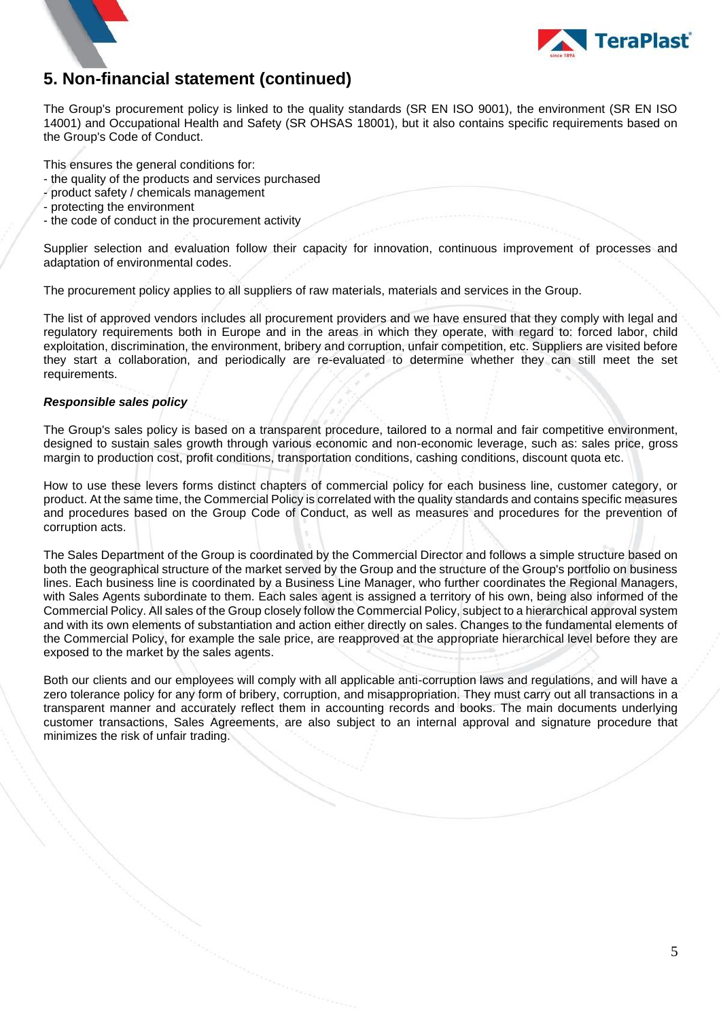

# **5. Non-financial statement (continued)**

The Group's procurement policy is linked to the quality standards (SR EN ISO 9001), the environment (SR EN ISO 14001) and Occupational Health and Safety (SR OHSAS 18001), but it also contains specific requirements based on the Group's Code of Conduct.

This ensures the general conditions for:

- the quality of the products and services purchased
- product safety / chemicals management
- protecting the environment
- the code of conduct in the procurement activity

Supplier selection and evaluation follow their capacity for innovation, continuous improvement of processes and adaptation of environmental codes.

The procurement policy applies to all suppliers of raw materials, materials and services in the Group.

The list of approved vendors includes all procurement providers and we have ensured that they comply with legal and regulatory requirements both in Europe and in the areas in which they operate, with regard to: forced labor, child exploitation, discrimination, the environment, bribery and corruption, unfair competition, etc. Suppliers are visited before they start a collaboration, and periodically are re-evaluated to determine whether they can still meet the set requirements.

#### *Responsible sales policy*

The Group's sales policy is based on a transparent procedure, tailored to a normal and fair competitive environment, designed to sustain sales growth through various economic and non-economic leverage, such as: sales price, gross margin to production cost, profit conditions, transportation conditions, cashing conditions, discount quota etc.

How to use these levers forms distinct chapters of commercial policy for each business line, customer category, or product. At the same time, the Commercial Policy is correlated with the quality standards and contains specific measures and procedures based on the Group Code of Conduct, as well as measures and procedures for the prevention of corruption acts.

The Sales Department of the Group is coordinated by the Commercial Director and follows a simple structure based on both the geographical structure of the market served by the Group and the structure of the Group's portfolio on business lines. Each business line is coordinated by a Business Line Manager, who further coordinates the Regional Managers, with Sales Agents subordinate to them. Each sales agent is assigned a territory of his own, being also informed of the Commercial Policy. All sales of the Group closely follow the Commercial Policy, subject to a hierarchical approval system and with its own elements of substantiation and action either directly on sales. Changes to the fundamental elements of the Commercial Policy, for example the sale price, are reapproved at the appropriate hierarchical level before they are exposed to the market by the sales agents.

Both our clients and our employees will comply with all applicable anti-corruption laws and regulations, and will have a zero tolerance policy for any form of bribery, corruption, and misappropriation. They must carry out all transactions in a transparent manner and accurately reflect them in accounting records and books. The main documents underlying customer transactions, Sales Agreements, are also subject to an internal approval and signature procedure that minimizes the risk of unfair trading.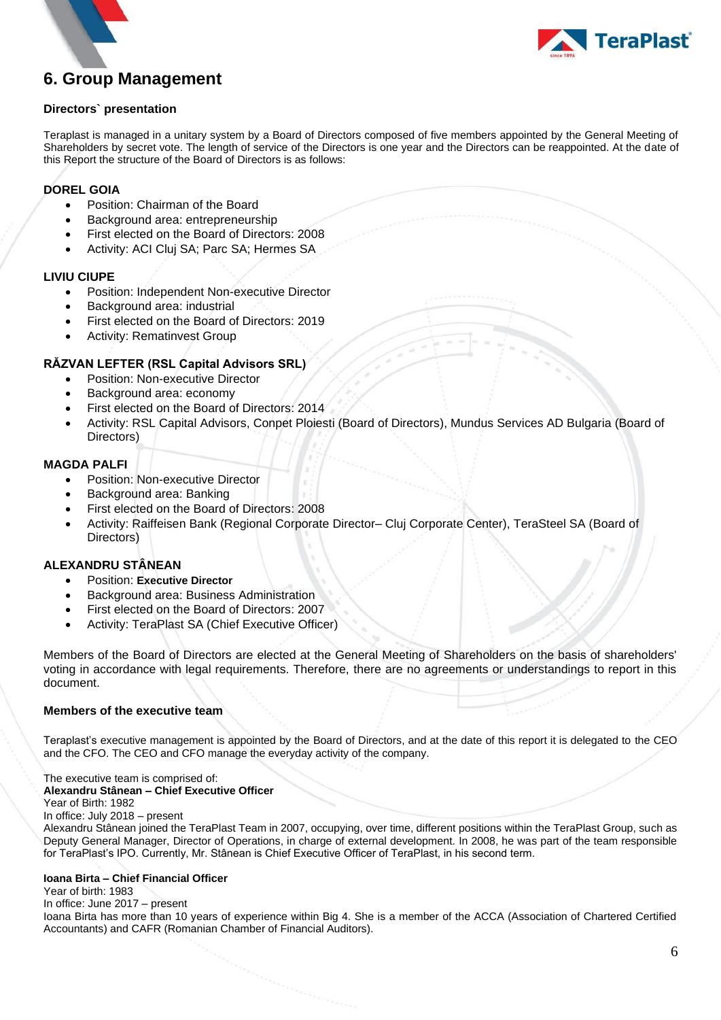

# <span id="page-25-0"></span>**6. Group Management**

#### **Directors` presentation**

Teraplast is managed in a unitary system by a Board of Directors composed of five members appointed by the General Meeting of Shareholders by secret vote. The length of service of the Directors is one year and the Directors can be reappointed. At the date of this Report the structure of the Board of Directors is as follows:

#### **DOREL GOIA**

- Position: Chairman of the Board
- Background area: entrepreneurship
- First elected on the Board of Directors: 2008
- Activity: ACI Cluj SA; Parc SA; Hermes SA

#### **LIVIU CIUPE**

- Position: Independent Non-executive Director
- Background area: industrial
- First elected on the Board of Directors: 2019
- Activity: Rematinvest Group

#### **RĂZVAN LEFTER (RSL Capital Advisors SRL)**

- Position: Non-executive Director
- Background area: economy
- First elected on the Board of Directors: 2014
- Activity: RSL Capital Advisors, Conpet Ploiesti (Board of Directors), Mundus Services AD Bulgaria (Board of Directors)

#### **MAGDA PALFI**

- Position: Non-executive Director
- Background area: Banking
- First elected on the Board of Directors: 2008
- Activity: Raiffeisen Bank (Regional Corporate Director– Cluj Corporate Center), TeraSteel SA (Board of Directors)

#### **ALEXANDRU STÂNEAN**

- Position: **Executive Director**
- Background area: Business Administration
- First elected on the Board of Directors: 2007
- Activity: TeraPlast SA (Chief Executive Officer)

Members of the Board of Directors are elected at the General Meeting of Shareholders on the basis of shareholders' voting in accordance with legal requirements. Therefore, there are no agreements or understandings to report in this document.

#### **Members of the executive team**

Teraplast's executive management is appointed by the Board of Directors, and at the date of this report it is delegated to the CEO and the CFO. The CEO and CFO manage the everyday activity of the company.

### The executive team is comprised of:

#### **Alexandru Stânean – Chief Executive Officer**

Year of Birth: 1982

In office: July 2018 – present

Alexandru Stânean joined the TeraPlast Team in 2007, occupying, over time, different positions within the TeraPlast Group, such as Deputy General Manager, Director of Operations, in charge of external development. In 2008, he was part of the team responsible for TeraPlast's IPO. Currently, Mr. Stânean is Chief Executive Officer of TeraPlast, in his second term.

#### **Ioana Birta – Chief Financial Officer**

#### Year of birth: 1983

#### In office: June 2017 – present

Ioana Birta has more than 10 years of experience within Big 4. She is a member of the ACCA (Association of Chartered Certified Accountants) and CAFR (Romanian Chamber of Financial Auditors).